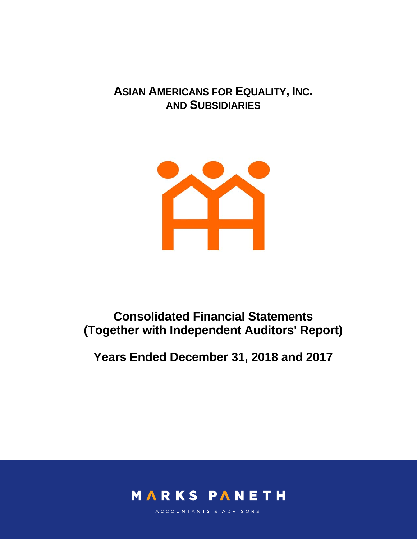**ASIAN AMERICANS FOR EQUALITY, INC. AND SUBSIDIARIES**



# **Consolidated Financial Statements (Together with Independent Auditors' Report)**

**Years Ended December 31, 2018 and 2017** 



ACCOUNTANTS & ADVISORS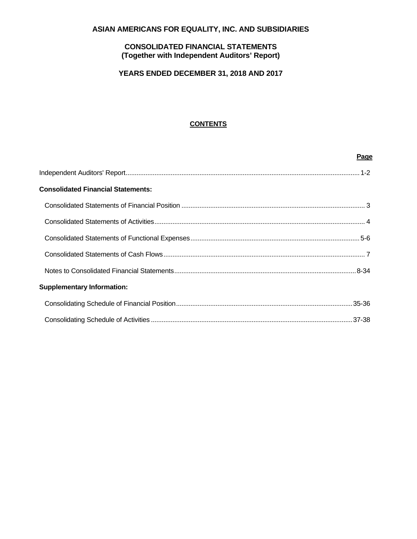# **ASIAN AMERICANS FOR EQUALITY, INC. AND SUBSIDIARIES**

# **CONSOLIDATED FINANCIAL STATEMENTS (Together with Independent Auditors' Report)**

# **YEARS ENDED DECEMBER 31, 2018 AND 2017**

# **CONTENTS**

| Page                                      |
|-------------------------------------------|
|                                           |
| <b>Consolidated Financial Statements:</b> |
|                                           |
|                                           |
|                                           |
|                                           |
|                                           |
| <b>Supplementary Information:</b>         |
|                                           |
|                                           |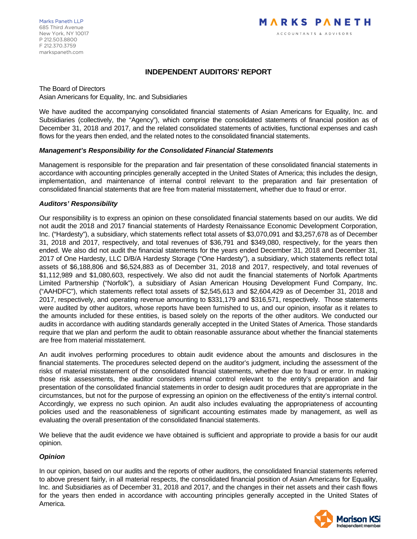## **INDEPENDENT AUDITORS' REPORT**

The Board of Directors Asian Americans for Equality, Inc. and Subsidiaries

We have audited the accompanying consolidated financial statements of Asian Americans for Equality, Inc. and Subsidiaries (collectively, the "Agency"), which comprise the consolidated statements of financial position as of December 31, 2018 and 2017, and the related consolidated statements of activities, functional expenses and cash flows for the years then ended, and the related notes to the consolidated financial statements.

#### *Management's Responsibility for the Consolidated Financial Statements*

Management is responsible for the preparation and fair presentation of these consolidated financial statements in accordance with accounting principles generally accepted in the United States of America; this includes the design, implementation, and maintenance of internal control relevant to the preparation and fair presentation of consolidated financial statements that are free from material misstatement, whether due to fraud or error.

#### *Auditors' Responsibility*

Our responsibility is to express an opinion on these consolidated financial statements based on our audits. We did not audit the 2018 and 2017 financial statements of Hardesty Renaissance Economic Development Corporation, Inc. ("Hardesty"), a subsidiary, which statements reflect total assets of \$3,070,091 and \$3,257,678 as of December 31, 2018 and 2017, respectively, and total revenues of \$36,791 and \$349,080, respectively, for the years then ended. We also did not audit the financial statements for the years ended December 31, 2018 and December 31, 2017 of One Hardesty, LLC D/B/A Hardesty Storage ("One Hardesty"), a subsidiary, which statements reflect total assets of \$6,188,806 and \$6,524,883 as of December 31, 2018 and 2017, respectively, and total revenues of \$1,112,989 and \$1,080,603, respectively. We also did not audit the financial statements of Norfolk Apartments Limited Partnership ("Norfolk"), a subsidiary of Asian American Housing Development Fund Company, Inc. ("AAHDFC"), which statements reflect total assets of \$2,545,613 and \$2,604,429 as of December 31, 2018 and 2017, respectively, and operating revenue amounting to \$331,179 and \$316,571, respectively. Those statements were audited by other auditors, whose reports have been furnished to us, and our opinion, insofar as it relates to the amounts included for these entities, is based solely on the reports of the other auditors. We conducted our audits in accordance with auditing standards generally accepted in the United States of America. Those standards require that we plan and perform the audit to obtain reasonable assurance about whether the financial statements are free from material misstatement.

An audit involves performing procedures to obtain audit evidence about the amounts and disclosures in the financial statements. The procedures selected depend on the auditor's judgment, including the assessment of the risks of material misstatement of the consolidated financial statements, whether due to fraud or error. In making those risk assessments, the auditor considers internal control relevant to the entity's preparation and fair presentation of the consolidated financial statements in order to design audit procedures that are appropriate in the circumstances, but not for the purpose of expressing an opinion on the effectiveness of the entity's internal control. Accordingly, we express no such opinion. An audit also includes evaluating the appropriateness of accounting policies used and the reasonableness of significant accounting estimates made by management, as well as evaluating the overall presentation of the consolidated financial statements.

We believe that the audit evidence we have obtained is sufficient and appropriate to provide a basis for our audit opinion.

#### *Opinion*

In our opinion, based on our audits and the reports of other auditors, the consolidated financial statements referred to above present fairly, in all material respects, the consolidated financial position of Asian Americans for Equality, Inc. and Subsidiaries as of December 31, 2018 and 2017, and the changes in their net assets and their cash flows for the years then ended in accordance with accounting principles generally accepted in the United States of America.

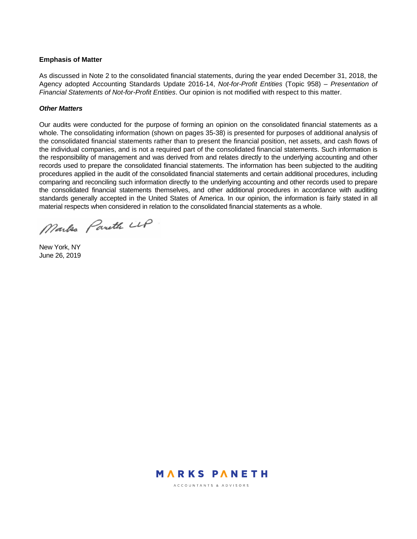#### **Emphasis of Matter**

As discussed in Note 2 to the consolidated financial statements, during the year ended December 31, 2018, the Agency adopted Accounting Standards Update 2016-14, *Not-for-Profit Entities* (Topic 958) – *Presentation of Financial Statements of Not-for-Profit Entities*. Our opinion is not modified with respect to this matter.

#### *Other Matters*

Our audits were conducted for the purpose of forming an opinion on the consolidated financial statements as a whole. The consolidating information (shown on pages 35-38) is presented for purposes of additional analysis of the consolidated financial statements rather than to present the financial position, net assets, and cash flows of the individual companies, and is not a required part of the consolidated financial statements. Such information is the responsibility of management and was derived from and relates directly to the underlying accounting and other records used to prepare the consolidated financial statements. The information has been subjected to the auditing procedures applied in the audit of the consolidated financial statements and certain additional procedures, including comparing and reconciling such information directly to the underlying accounting and other records used to prepare the consolidated financial statements themselves, and other additional procedures in accordance with auditing standards generally accepted in the United States of America. In our opinion, the information is fairly stated in all material respects when considered in relation to the consolidated financial statements as a whole.

Marks Pareth LLP

New York, NY June 26, 2019



ACCOUNTANTS & ADVISORS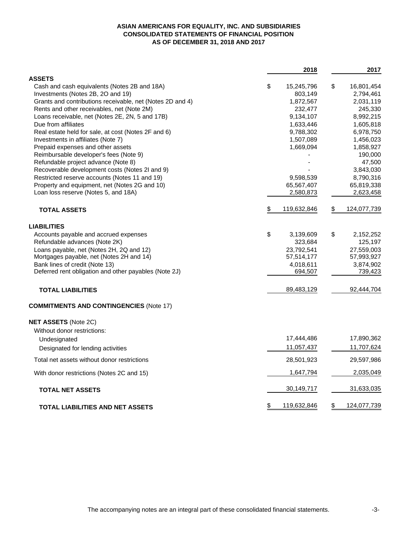#### **ASIAN AMERICANS FOR EQUALITY, INC. AND SUBSIDIARIES CONSOLIDATED STATEMENTS OF FINANCIAL POSITION AS OF DECEMBER 31, 2018 AND 2017**

|                                                           | 2018              | 2017              |
|-----------------------------------------------------------|-------------------|-------------------|
| <b>ASSETS</b>                                             |                   |                   |
| Cash and cash equivalents (Notes 2B and 18A)              | \$<br>15,245,796  | \$<br>16,801,454  |
| Investments (Notes 2B, 2O and 19)                         | 803,149           | 2,794,461         |
| Grants and contributions receivable, net (Notes 2D and 4) | 1,872,567         | 2,031,119         |
| Rents and other receivables, net (Note 2M)                | 232,477           | 245,330           |
| Loans receivable, net (Notes 2E, 2N, 5 and 17B)           | 9,134,107         | 8,992,215         |
| Due from affiliates                                       | 1,633,446         | 1,605,818         |
| Real estate held for sale, at cost (Notes 2F and 6)       | 9,788,302         | 6,978,750         |
| Investments in affiliates (Note 7)                        | 1,507,089         | 1,456,023         |
| Prepaid expenses and other assets                         | 1,669,094         | 1,858,927         |
| Reimbursable developer's fees (Note 9)                    |                   | 190,000           |
| Refundable project advance (Note 8)                       |                   | 47,500            |
| Recoverable development costs (Notes 2I and 9)            |                   | 3,843,030         |
| Restricted reserve accounts (Notes 11 and 19)             | 9,598,539         | 8,790,316         |
| Property and equipment, net (Notes 2G and 10)             | 65,567,407        | 65,819,338        |
| Loan loss reserve (Notes 5, and 18A)                      | 2,580,873         | 2,623,458         |
| <b>TOTAL ASSETS</b>                                       | \$<br>119,632,846 | \$<br>124,077,739 |
| <b>LIABILITIES</b>                                        |                   |                   |
| Accounts payable and accrued expenses                     | \$<br>3,139,609   | \$<br>2,152,252   |
| Refundable advances (Note 2K)                             | 323,684           | 125,197           |
| Loans payable, net (Notes 2H, 2Q and 12)                  | 23,792,541        | 27,559,003        |
| Mortgages payable, net (Notes 2H and 14)                  | 57,514,177        | 57,993,927        |
| Bank lines of credit (Note 13)                            | 4,018,611         | 3,874,902         |
| Deferred rent obligation and other payables (Note 2J)     | 694,507           | 739,423           |
| <b>TOTAL LIABILITIES</b>                                  | 89,483,129        | 92,444,704        |
| <b>COMMITMENTS AND CONTINGENCIES (Note 17)</b>            |                   |                   |
| <b>NET ASSETS (Note 2C)</b>                               |                   |                   |
| Without donor restrictions:                               |                   |                   |
| Undesignated                                              | 17,444,486        | 17,890,362        |
| Designated for lending activities                         | 11,057,437        | 11,707,624        |
| Total net assets without donor restrictions               | 28,501,923        | 29,597,986        |
| With donor restrictions (Notes 2C and 15)                 | 1,647,794         | 2,035,049         |
| <b>TOTAL NET ASSETS</b>                                   | 30,149,717        | 31,633,035        |
| <b>TOTAL LIABILITIES AND NET ASSETS</b>                   | \$<br>119,632,846 | \$<br>124,077,739 |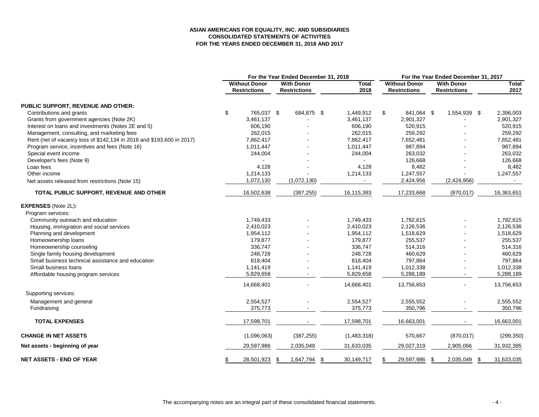#### **ASIAN AMERICANS FOR EQUALITY, INC. AND SUBSIDIARIES CONSOLIDATED STATEMENTS OF ACTIVITIESFOR THE YEARS ENDED DECEMBER 31, 2018 AND 2017**

|                                                                       |                      | For the Year Ended December 31, 2018 |                  | For the Year Ended December 31, 2017 |                          |                  |  |
|-----------------------------------------------------------------------|----------------------|--------------------------------------|------------------|--------------------------------------|--------------------------|------------------|--|
|                                                                       | <b>Without Donor</b> | <b>With Donor</b>                    | <b>Total</b>     | <b>Without Donor</b>                 | <b>With Donor</b>        | <b>Total</b>     |  |
|                                                                       | <b>Restrictions</b>  | <b>Restrictions</b>                  | 2018             | <b>Restrictions</b>                  | <b>Restrictions</b>      | 2017             |  |
| PUBLIC SUPPORT, REVENUE AND OTHER:                                    |                      |                                      |                  |                                      |                          |                  |  |
| Contributions and grants                                              | \$<br>765,037 \$     | 684,875 \$                           | 1,449,912        | \$<br>841,064 \$                     | 1,554,939 \$             | 2,396,003        |  |
| Grants from government agencies (Note 2K)                             | 3,461,137            |                                      | 3,461,137        | 2,901,327                            |                          | 2,901,327        |  |
| Interest on loans and investments (Notes 2E and 5)                    | 606,190              |                                      | 606,190          | 520,915                              |                          | 520,915          |  |
| Management, consulting, and marketing fees                            | 262,015              |                                      | 262,015          | 259,292                              |                          | 259,292          |  |
| Rent (net of vacancy loss of \$142,134 in 2018 and \$193,600 in 2017) | 7,862,417            |                                      | 7,862,417        | 7,652,481                            |                          | 7,652,481        |  |
| Program service, incentives and fees (Note 16)                        | 1,011,447            |                                      | 1,011,447        | 987,894                              |                          | 987,894          |  |
| Special event income                                                  | 244,004              |                                      | 244,004          | 263,032                              |                          | 263,032          |  |
| Developer's fees (Note 9)                                             |                      |                                      |                  | 126,668                              |                          | 126,668          |  |
| Loan fees                                                             | 4,128                |                                      | 4,128            | 8,482                                |                          | 8,482            |  |
| Other income                                                          | 1,214,133            |                                      | 1,214,133        | 1,247,557                            |                          | 1,247,557        |  |
| Net assets released from restrictions (Note 15)                       | 1,072,130            | (1,072,130)                          |                  | 2,424,956                            | (2,424,956)              |                  |  |
| TOTAL PUBLIC SUPPORT, REVENUE AND OTHER                               | 16,502,638           | (387, 255)                           | 16,115,383       | 17,233,668                           | (870, 017)               | 16,363,651       |  |
| <b>EXPENSES (Note 2L):</b>                                            |                      |                                      |                  |                                      |                          |                  |  |
| Program services:                                                     |                      |                                      |                  |                                      |                          |                  |  |
| Community outreach and education                                      | 1,749,433            |                                      | 1,749,433        | 1,782,615                            |                          | 1,782,615        |  |
| Housing, immigration and social services                              | 2,410,023            |                                      | 2,410,023        | 2,126,536                            |                          | 2,126,536        |  |
| Planning and development                                              | 1,954,112            |                                      | 1,954,112        | 1,518,629                            |                          | 1,518,629        |  |
| Homeownership loans                                                   | 179,877              |                                      | 179,877          | 255,537                              |                          | 255,537          |  |
| Homeownership counseling                                              | 336,747              |                                      | 336,747          | 514,316                              |                          | 514,316          |  |
| Single family housing development                                     | 248,728              |                                      | 248,728          | 460,629                              |                          | 460,629          |  |
| Small business technical assistance and education                     | 818,404              |                                      | 818,404          | 797,864                              |                          | 797,864          |  |
| Small business loans                                                  | 1,141,419            |                                      | 1,141,419        | 1,012,338                            |                          | 1,012,338        |  |
| Affordable housing program services                                   | 5,829,658            |                                      | 5,829,658        | 5,288,189                            | $\overline{\phantom{a}}$ | 5,288,189        |  |
|                                                                       | 14,668,401           |                                      | 14,668,401       | 13,756,653                           |                          | 13,756,653       |  |
| Supporting services:                                                  |                      |                                      |                  |                                      |                          |                  |  |
| Management and general                                                | 2,554,527            |                                      | 2,554,527        | 2,555,552                            |                          | 2,555,552        |  |
| Fundraising                                                           | 375,773              |                                      | 375,773          | 350,796                              |                          | 350,796          |  |
| <b>TOTAL EXPENSES</b>                                                 | 17,598,701           |                                      | 17,598,701       | 16,663,001                           |                          | 16,663,001       |  |
| <b>CHANGE IN NET ASSETS</b>                                           | (1,096,063)          | (387, 255)                           | (1,483,318)      | 570,667                              | (870, 017)               | (299, 350)       |  |
| Net assets - beginning of year                                        | 29,597,986           | 2,035,049                            | 31,633,035       | 29,027,319                           | 2,905,066                | 31,932,385       |  |
| <b>NET ASSETS - END OF YEAR</b>                                       | 28,501,923<br>S      | 1,647,794<br>\$                      | 30,149,717<br>\$ | 29,597,986                           | 2,035,049<br>\$          | 31,633,035<br>\$ |  |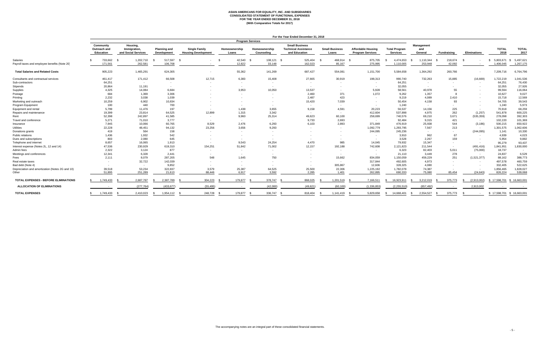# **ASIAN AMERICANS FOR EQUALITY, INC. AND SUBSIDIARIES CONSOLIDATED STATEMENT OF FUNCTIONAL EXPENSES FOR THE YEAR ENDED DECEMBER 31, 2018 (With Comparative Totals for 2017)**

|                                                 | For the Year Ended December 31, 2018          |                                                 |                                    |                                                    |                          |                             |                                                                       |                                |                                                      |                                  |                              |             |                     |                      |                      |
|-------------------------------------------------|-----------------------------------------------|-------------------------------------------------|------------------------------------|----------------------------------------------------|--------------------------|-----------------------------|-----------------------------------------------------------------------|--------------------------------|------------------------------------------------------|----------------------------------|------------------------------|-------------|---------------------|----------------------|----------------------|
|                                                 | <b>Program Services</b>                       |                                                 |                                    |                                                    |                          |                             |                                                                       |                                |                                                      |                                  |                              |             |                     |                      |                      |
|                                                 | Community<br>Outreach and<br><b>Education</b> | Housing,<br>Immigration.<br>and Social Services | <b>Planning and</b><br>Development | <b>Single Family</b><br><b>Housing Development</b> | Homeownership<br>Loans   | Homeownership<br>Counseling | <b>Small Business</b><br><b>Technical Assistance</b><br>and Education | <b>Small Business</b><br>Loans | <b>Affordable Housing</b><br><b>Program Services</b> | <b>Total Program</b><br>Services | Management<br>and<br>General | Fundraising | <b>Eliminations</b> | <b>TOTAL</b><br>2018 | <b>TOTAL</b><br>2017 |
| Salaries                                        | 733,662                                       | 1,202,710                                       | 517,597                            |                                                    | 42,540                   | 108,121 \$<br><b>S</b>      | 525,404                                                               | 468,914 \$                     | 875,705                                              | 4,474,653                        | 1,110,344                    | 218,674     |                     | 5,803,671            | 5,497,621<br>- S     |
| Payroll taxes and employee benefits (Note 20)   | 171,561                                       | 262,581                                         | 106,708                            |                                                    | 12,822                   | 33,148                      | 162,023                                                               | 85,167                         | 275,995                                              | 1,110,005                        | 253,948                      | 42,092      | $\sim$              | 1,406,045            | 1,267,175            |
| <b>Total Salaries and Related Costs</b>         | 905,223                                       | 1,465,291                                       | 624,305                            |                                                    | 55,362                   | 141,269                     | 687,427                                                               | 554,081                        | 1,151,700                                            | 5,584,658                        | 1,364,292                    | 260,766     |                     | 7,209,716            | 6,764,796            |
| Consultants and contractual services            | 461,417                                       | 171,412                                         | 66,508                             | 12,715                                             | 6,383                    | 15,408                      | 27,665                                                                | 30,919                         | 198,313                                              | 990,740                          | 732,263                      | 15,885      | (16, 669)           | 1,722,219            | 1,041,536            |
| Sub-contractors                                 | 64,251                                        | $\sim$                                          |                                    |                                                    | $\sim$                   |                             | $\sim$                                                                |                                |                                                      | 64,251                           | $\sim$                       |             |                     | 64,251               | 76,430               |
| <b>Stipends</b>                                 | 20,864                                        | 11,191                                          | $\sim$                             |                                                    | $\sim$                   |                             | $\sim$                                                                |                                |                                                      | 32,055                           | $\sim$                       |             |                     | 32,055               | 27,926               |
| Supplies                                        | 4,325                                         | 14,084                                          | 6,684                              |                                                    | 3,953                    | 10,050                      | 13,537                                                                |                                | 5,928                                                | 58,561                           | 40,978                       | 55          |                     | 99,594               | 116,064              |
| Postage                                         | 684                                           | 1,369                                           | 3,306                              |                                                    | $\sim$                   |                             | 2,460                                                                 | 371                            | 1,072                                                | 9,262                            | 1,357                        | -8          | $\sim$              | 10,627               | 9,027                |
| Printina                                        | 2,232                                         | 3,038                                           | 1,039                              |                                                    |                          |                             | 2,487                                                                 | 423                            |                                                      | 9,219                            | 4,089                        | 2,410       |                     | 15,718               | 12,569               |
| Marketing and outreach                          | 10,259                                        | 6,902                                           | 10,834                             |                                                    |                          |                             | 15,420                                                                | 7,039                          |                                                      | 50,454                           | 4,158                        | 93          | $\sim$              | 54,705               | 39,543               |
| Program Equipment                               | 100                                           | 440                                             | 700                                |                                                    | $\sim$                   |                             | $\sim$                                                                | $\sim$                         |                                                      | 1,240                            | $\sim$                       | $\sim$      |                     | 1,240                | 5,973                |
| Equipment and rental                            | 5,799                                         | 11,476                                          | 197                                |                                                    | 1,438                    | 3,655                       | 9,158                                                                 | 4,591                          | 20,223                                               | 56,537                           | 14,156                       | 225         | $\sim$              | 70,918               | 68,259               |
| Repairs and maintenance                         | 19,399                                        | 23,814                                          | 64,525                             | 12,899                                             | 1,315                    | 3,342                       | $\sim$                                                                | $\sim$                         | 412,604                                              | 537,898                          | 4,975                        | 262         | (1, 257)            | 541,878              | 600,225              |
| Rent                                            | 52,398                                        | 242,897                                         | 41,585                             |                                                    | 9,960                    | 25,314                      | 49,623                                                                | 60,100                         | 258,699                                              | 740,576                          | 69,210                       | 3,671       | (535, 359)          | 278,098              | 392,303              |
| Travel and conference                           | 5,271                                         | 71,010                                          | 3,777                              |                                                    | $\sim$                   |                             | 9,733                                                                 | 2,693                          | $\sim$                                               | 92,484                           | 9,315                        | 421         | $\sim$              | 102,220              | 101,369              |
| Insurance                                       | 7,945                                         | 10,066                                          | 60,765                             | 8,529                                              | 2.476                    | 6,293                       | 6,103                                                                 | 2,893                          | 371,849                                              | 476,919                          | 25,938                       | 544         | (3, 186)            | 500,215              | 650,922              |
| Utilities                                       | 22,228                                        | 48,451                                          | 94,132                             | 23,256                                             | 3,656                    | 9,293                       | $\sim$                                                                |                                | 1,092,779                                            | 1,293,795                        | 7,567                        | 213         |                     | 1,301,575            | 1,062,606            |
| Donations grants                                | 419                                           | 564                                             | 158                                |                                                    | $\sim$                   |                             |                                                                       |                                | 244,095                                              | 245,236                          | $\sim$                       | $\sim$      | (244, 095)          | 1,141                | 10,330               |
| <b>Public relations</b>                         | 1,436                                         | 1,932                                           | 542                                |                                                    |                          |                             |                                                                       |                                |                                                      | 3,910                            | 962                          | 67          |                     | 4,939                | 4,023                |
| Dues and subscriptions                          | 803                                           | 2,080                                           | 645                                |                                                    | $\sim$                   |                             | $\sim$                                                                |                                |                                                      | 3,528                            | 2,267                        | 159         | $\sim$              | 5,954                | 9,882                |
| Telephone and internet                          | 8,657                                         | 16,065                                          | 1,913                              |                                                    | 9,543                    | 24,254                      | 4,470                                                                 | 985                            | 14,045                                               | 79,932                           | 15,347                       | $\sim$      | $\sim$              | 95,279               | 93,437               |
| Interest expense (Notes 2L, 12 and 14)          | 47,536                                        | 230,929                                         | 619,310                            | 154,251                                            | 51,842                   | 71,002                      | 12,157                                                                | 192,188                        | 742,608                                              | 2,121,823                        | 211,544                      | $\sim$      | (491, 416)          | 1,841,951            | 1,830,000            |
| Admin fees                                      | 2,322                                         | 3,124                                           | 877                                |                                                    | $\sim$                   |                             | $\sim$                                                                |                                | $\sim$                                               | 6,323                            | 82,403                       | 5,011       | (75,000)            | 18,737               | <b>Contract</b>      |
| Meetings and conferences                        | 12,341                                        | 6,328                                           | 2,441                              |                                                    | $\overline{\phantom{a}}$ |                             |                                                                       | $\sim$                         | $\sim$                                               | 21,110                           | 3,449                        | 278         |                     | 24,837               | 6,529                |
| Fees                                            | 2,111                                         | 8,079                                           | 287,205                            | 548                                                | 1,645                    | 750                         |                                                                       | 15,662                         | 834,059                                              | 1,150,059                        | 459,229                      | 251         | (1,521,377)         | 88,162               | 388,773              |
| Real estate taxes                               |                                               | 32,722                                          | 142,039                            |                                                    | $\overline{\phantom{a}}$ |                             |                                                                       |                                | 317,844                                              | 492,605                          | 4,973                        | $\sim$      |                     | 497,578              | 460,759              |
| Bad debt (Note 4)                               |                                               | $\sim$                                          | 9,852                              |                                                    | $\overline{\phantom{a}}$ |                             | $\sim$                                                                | 305,867                        | 12,606                                               | 328,325                          | 4,080                        |             |                     | 332,405              | 522,625              |
| Depreciation and amortization (Notes 2G and 10) | 39,518                                        | 53,234                                          | 322,837                            | 3,579                                              | 25,387                   | 64,525                      | 25,500                                                                | 22,306                         | 1,225,192                                            | 1,782,078                        | 74,387                       |             |                     | 1,856,465            | 1,828,027            |
| Other                                           | 51,895                                        | 251,289                                         | 21,613                             | 88,446                                             | 6,917                    | 3,592                       | 2,285                                                                 | 1,401                          | 262,895                                              | 690,333                          | 75,080                       | 85,454      | (24, 643)           | 826,224              | 539,068              |
| TOTAL EXPENSES - BEFORE ELIMINATIONS            | 1,749,433                                     | 2,687,787                                       | 2,387,789                          | 304,223                                            | 179,877                  | 378,747                     | 868,025                                                               | 1,201,519                      | 7,166,511                                            | 16,923,911                       | 3,212,019                    | 375,773     | (2,913,002)         | \$17,598,701         | \$16,663,001         |
| <b>ALLOCATION OF ELIMINATIONS</b>               |                                               | (277, 764)                                      | (433, 677)                         | (55, 495)                                          | $\sim$                   | (42,000)                    | (49, 621)                                                             | (60, 100)                      | (1, 336, 853)                                        | (2, 255, 510)                    | (657, 492)                   | $\sim$ $-$  | 2,913,002           |                      | $\sim$ $-$           |
| <b>TOTAL EXPENSES</b>                           | 1,749,433                                     | 2,410,023                                       | 1,954,112                          | 248,728                                            | 179,877                  | 336,747                     | 818,404                                                               | 1,141,419                      | 5,829,658                                            | 14,668,401                       | 2,554,527                    | 375,773     | $\sim$              | \$17,598,701         | \$16,663,001         |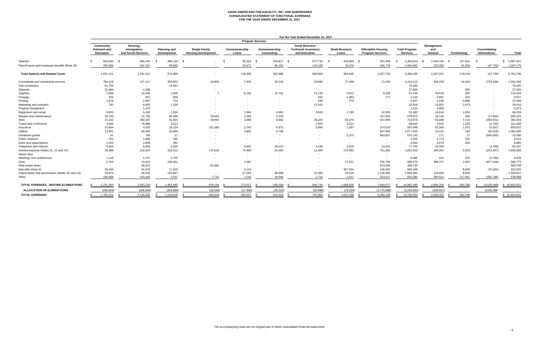# **ASIAN AMERICANS FOR EQUALITY, INC. AND SUBSIDIARIES CONSOLIDATED STATEMENT OF FUNCTIONAL EXPENSES FOR THE YEAR ENDED DECEMBER 31, 2017**

|                                                 | For the Year Ended December 31, 2017   |                                                       |                                    |                                                    |                          |                             |                                                                       |                                |                                                      |                                         |                              |                    |                                      |                  |
|-------------------------------------------------|----------------------------------------|-------------------------------------------------------|------------------------------------|----------------------------------------------------|--------------------------|-----------------------------|-----------------------------------------------------------------------|--------------------------------|------------------------------------------------------|-----------------------------------------|------------------------------|--------------------|--------------------------------------|------------------|
|                                                 | <b>Program Services</b>                |                                                       |                                    |                                                    |                          |                             |                                                                       |                                |                                                      |                                         |                              |                    |                                      |                  |
|                                                 | Community<br>Outreach and<br>Education | <b>Housing</b><br>Immigration,<br>and Social Services | <b>Planning and</b><br>Development | <b>Single Family</b><br><b>Housing Development</b> | Homeownership<br>Loans   | Homeownership<br>Counseling | <b>Small Business</b><br><b>Technical Assistance</b><br>and Education | <b>Small Business</b><br>Loans | <b>Affordable Housing</b><br><b>Program Services</b> | <b>Total Program</b><br><b>Services</b> | Management<br>and<br>General | <b>Fundraising</b> | Consolidating<br><b>Eliminations</b> | <b>Total</b>     |
| Salaries                                        | 818,555                                | 984,245                                               | 485,103                            | $\overline{\phantom{a}}$                           | 95,534                   | 242,817 \$<br>- \$          | 577,733                                                               | 318,869                        | 781,958<br>- \$                                      | 4,304,814                               | 1,045,146                    | 147,661            |                                      | 5,497,621<br>\$. |
| Payroll taxes and employee benefits (Note 20)   | 202,566                                | 247,167                                               | 89,892                             |                                                    | 23,671                   | 60,163                      | 116,169                                                               | 76,076                         | 245,778                                              | 1,061,482                               | 222,055                      | 31,358             | (47, 720)                            | 1,267,175        |
| <b>Total Salaries and Related Costs</b>         | 1,021,121                              | 1,231,412                                             | 574,995                            | $\sim$                                             | 119,205                  | 302,980                     | 693,902                                                               | 394,945                        | 1,027,736                                            | 5,366,296                               | 1,267,201                    | 179,019            | (47, 720)                            | 6,764,796        |
| Consultants and contractual services            | 794,128                                | 177,417                                               | 265,552                            | 18,950                                             | 7,920                    | 20,130                      | 32,680                                                                | 27,306                         | 71,030                                               | 1,415,113                               | 365,158                      | 14,434             | (753, 169)                           | 1,041,536        |
| Sub-contractors                                 | 61,763                                 | $\sim$                                                | 14,667                             |                                                    |                          |                             | $\sim$                                                                |                                | $\sim$                                               | 76,430                                  | $\sim$                       |                    |                                      | 76,430           |
| <b>Stipends</b>                                 | 25,690                                 | 1,936                                                 | $\sim$                             |                                                    |                          | $\sim$                      |                                                                       | $\sim$                         | $\sim$                                               | 27,626                                  | $\sim$                       | 300                |                                      | 27,926           |
| <b>Supplies</b>                                 | 3,099                                  | 10,456                                                | 1,658                              |                                                    | 6,194                    | 15,741                      | 15,140                                                                | 5,613                          | 9,238                                                | 67,146                                  | 48,618                       | 300                |                                      | 116,064          |
| Postage                                         | 433                                    | 937                                                   | 269                                |                                                    |                          |                             | 455                                                                   | 1,363                          | 777                                                  | 4,234                                   | 4,691                        | 102                |                                      | 9,027            |
| Printina                                        | 1,876                                  | 2,587                                                 | 274                                |                                                    |                          |                             | 630                                                                   | 270                            |                                                      | 5,637                                   | 1,246                        | 5,686              |                                      | 12,569           |
| Marketing and outreach                          | 740                                    | 8,655                                                 | 1,109                              |                                                    |                          |                             | 12,414                                                                | $\sim$                         |                                                      | 22,918                                  | 13,652                       | 2,973              |                                      | 39,543           |
| <b>Program Equipment</b>                        | $\sim$                                 | 1,123                                                 | $\sim$                             |                                                    |                          |                             |                                                                       | $\sim$                         |                                                      | 1,123                                   | 4,850                        |                    |                                      | 5,973            |
| Equipment and rental                            | 9,893                                  | 9,192                                                 | 1,550                              | $\sim$                                             | 1,964                    | 4,993                       | 3,633                                                                 | 2,789                          | 18,369                                               | 52,383                                  | 14,614                       | 1,262              | $\sim$                               | 68,259           |
| Repairs and maintenance                         | 20,793                                 | 21,790                                                | 66,068                             | 23,634                                             | 2,565                    | 6,518                       | $\sim$                                                                | $\sim$                         | 437,005                                              | 578,373                                 | 39,146                       | 356                | (17,650)                             | 600,225          |
| Rent                                            | 31,232                                 | 283,297                                               | 31,924                             | 18,954                                             | 3,888                    | 9,882                       | 36,225                                                                | 60,375                         | 247,899                                              | 723,676                                 | 65,468                       | 3,710              | (400, 551)                           | 392,303          |
| Travel and conference                           | 4,605                                  | 79,880                                                | 3,612                              | $\sim$                                             | $\sim$                   | $\sim$                      | 7,602                                                                 | 3,211                          | $\sim$                                               | 98,910                                  | 3,025                        | 1,229              | (1,795)                              | 101,369          |
| Insurance                                       | 10,944                                 | 9,029                                                 | 33,224                             | 152,580                                            | 2,743                    | 6,972                       | 5,949                                                                 | 1,297                          | 374,610                                              | 597,348                                 | 55,566                       | 1,375              | (3, 367)                             | 650,922          |
| Utilities                                       | 13,801                                 | 60,393                                                | 42,000                             |                                                    | 3,855                    | 9,796                       |                                                                       | $\sim$                         | 947,655                                              | 1,077,500                               | 15,232                       | 192                | (30, 318)                            | 1,062,606        |
| Donations grants                                | 61                                     | 784                                                   | 17                                 |                                                    |                          |                             |                                                                       | 5,373                          | 663,907                                              | 670,142                                 | 171                          | 17                 | (660,000)                            | 10,330           |
| <b>Public relations</b>                         | 761                                    | 1,099                                                 | 245                                |                                                    | $\overline{\phantom{a}}$ |                             |                                                                       | $\sim$                         |                                                      | 2,105                                   | 1.713                        | 205                | $\sim$                               | 4,023            |
| Dues and subscriptions                          | 1,322                                  | 2,849                                                 | 391                                |                                                    |                          |                             |                                                                       | $\sim$                         | $\sim$                                               | 4,562                                   | 4,670                        | 650                | $\sim$                               | 9,882            |
| Telephone and internet                          | 9,456                                  | 8,964                                                 | 2,192                              | $\overline{\phantom{a}}$                           | 9,841                    | 25,012                      | 4,198                                                                 | 3,529                          | 14,510                                               | 77,702                                  | 19,495                       |                    | (3,760)                              | 93,437           |
| Interest expense (Notes 2L, 12 and 14)          | 38,996                                 | 232,824                                               | 316,413                            | 175,616                                            | 74,400                   | 51,483                      | 11,584                                                                | 179,855                        | 751,382                                              | 1,832,553                               | 248,341                      | 2,503              | (253, 397)                           | 1,830,000        |
| Admin fees                                      | $\overline{\phantom{a}}$               | $\sim$                                                | $\sim$                             |                                                    |                          |                             |                                                                       | $\sim$                         |                                                      | $\sim$                                  |                              |                    | $\sim$                               |                  |
| Meetings and conferences                        | 1,124                                  | 4,737                                                 | 3,725                              |                                                    |                          |                             |                                                                       | $\sim$                         | $\sim$                                               | 9,586                                   | 441                          | 232                | (3,730)                              | 6,529            |
| Fees                                            | 2,763                                  | 13,413                                                | 230,061                            | $\sim$                                             | 2,091                    |                             |                                                                       | 17,151                         | 730,796                                              | 996,275                                 | 368,727                      | 1,687              | (977, 916)                           | 388,773          |
| Real estate taxes                               | $\sim$                                 | 66,021                                                | $\sim$                             | 81,692                                             | $\overline{\phantom{a}}$ |                             |                                                                       | $\sim$                         | 313,046                                              | 460,759                                 | $\sim$                       | $\sim$             | $\sim$                               | 460,759          |
| Bad debt (Note 4)                               | 36,400                                 | 62,675                                                | 17,325                             |                                                    | 4,110                    |                             |                                                                       | 357,354                        | 106,481                                              | 584,345                                 | $\sim$ $-$                   | 8,600              | (70, 320)                            | 522,625          |
| Depreciation and amortization (Notes 2G and 10) | 33,874                                 | 58,325                                                | 253,687                            |                                                    | 27,025                   | 68,689                      | 22,580                                                                | 25,616                         | 1,196,565                                            | 1,686,361                               | 133,663                      | 8,003              | $\sim$                               | 1,828,027        |
| Other                                           | 106,689                                | 243,435                                               | 2.537                              | 7,731                                              | 7,216                    | 18.340                      | 1,752                                                                 | 2,611                          | 153,071                                              | 543,382                                 | 280,521                      | 117,961            | (402, 796)                           | 539,068          |
| <b>TOTAL EXPENSES - BEFORE ELIMINATIONS</b>     | 2,231,564                              | 2,593,230                                             | 1,863,495                          | 479,164                                            | 273,017                  | 540,536                     | 848,744                                                               | 1,088,658                      | 7,064,077                                            | 16,982,485                              | 2,956,209                    | 350,796            | (3,626,489)                          | 16,663,001       |
| <b>ALLOCATION OF ELIMINATIONS</b>               | (448,949                               | (466, 694)                                            | (344, 866)                         | (18, 535)                                          | (17, 480)                | (26, 220)                   | (50, 880)                                                             | (76, 320)                      | (1,775,888)                                          | (3,225,832)                             | (400, 657)                   |                    | 3,626,489                            |                  |
| <b>TOTAL EXPENSES</b>                           | 1,782,615                              | 2,126,536                                             | 1,518,629                          | 460,629                                            | 255,537                  | 514,316                     | 797,864                                                               | 1,012,338                      | 5,288,189                                            | 13,756,653                              | 2,555,552                    | 350,796            |                                      | 16,663,001       |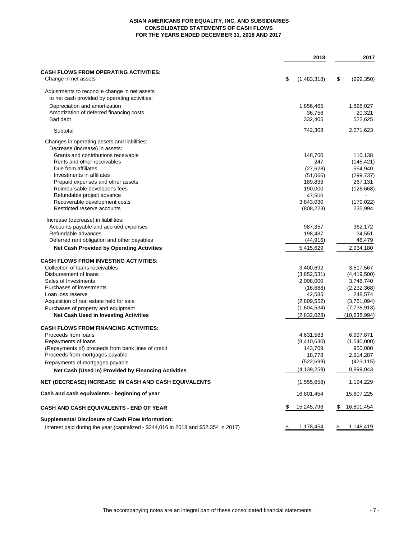#### **ASIAN AMERICANS FOR EQUALITY, INC. AND SUBSIDIARIES CONSOLIDATED STATEMENTS OF CASH FLOWS FOR THE YEARS ENDED DECEMBER 31, 2018 AND 2017**

|                                                                                      | 2018                 | 2017                    |
|--------------------------------------------------------------------------------------|----------------------|-------------------------|
| <b>CASH FLOWS FROM OPERATING ACTIVITIES:</b>                                         |                      |                         |
| Change in net assets                                                                 | \$<br>(1,483,318)    | \$<br>(299, 350)        |
| Adjustments to reconcile change in net assets                                        |                      |                         |
| to net cash provided by operating activities:                                        |                      |                         |
| Depreciation and amortization                                                        | 1,856,465            | 1,828,027               |
| Amortization of deferred financing costs                                             | 36,756               | 20,321                  |
| Bad debt                                                                             | 332,405              | 522,625                 |
| Subtotal                                                                             | 742,308              | 2,071,623               |
| Changes in operating assets and liabilities:                                         |                      |                         |
| Decrease (increase) in assets:                                                       |                      |                         |
| Grants and contributions receivable                                                  | 148,700              | 110,138                 |
| Rents and other receivables                                                          | 247                  | (145, 421)              |
| Due from affiliates                                                                  | (27, 628)            | 554,940                 |
| Investments in affiliates                                                            | (51,066)             | (299, 737)              |
| Prepaid expenses and other assets                                                    | 189,833              | 267,131                 |
| Reimbursable developer's fees                                                        | 190,000              | (126, 668)              |
| Refundable project advance                                                           | 47,500               |                         |
| Recoverable development costs                                                        | 3,843,030            | (179, 022)              |
| Restricted reserve accounts                                                          | (808, 223)           | 235,994                 |
| Increase (decrease) in liabilities:                                                  |                      |                         |
| Accounts payable and accrued expenses                                                | 987,357              | 362,172                 |
| Refundable advances                                                                  | 198,487              | 34,551                  |
| Deferred rent obligation and other payables                                          | (44, 916)            | 48,479                  |
| <b>Net Cash Provided by Operating Activities</b>                                     | 5,415,629            | 2,934,180               |
| <b>CASH FLOWS FROM INVESTING ACTIVITIES:</b>                                         |                      |                         |
| Collection of loans receivables                                                      | 3,400,692            | 3,517,567               |
| Disbursement of loans                                                                | (3,852,531)          | (4, 419, 500)           |
| Sales of Investments                                                                 | 2,008,000            | 3,746,740               |
| Purchases of investments                                                             | (16,688)             | (2,232,368)             |
| Loan loss reserve                                                                    | 42,585               | 248,574                 |
| Acquisition of real estate held for sale                                             | (2,809,552)          | (3,761,094)             |
| Purchases of property and equipment                                                  | (1,604,534)          | (7,738,913)             |
| <b>Net Cash Used in Investing Activities</b>                                         | (2,832,028)          | (10,638,994)            |
|                                                                                      |                      |                         |
| <b>CASH FLOWS FROM FINANCING ACTIVITIES:</b>                                         |                      |                         |
| Proceeds from loans                                                                  | 4,631,583            | 6,997,871               |
| Repayments of loans                                                                  | (8,410,630)          | (1,540,000)             |
| (Repayments of) proceeds from bank lines of credit                                   | 143,709              | 950,000                 |
| Proceeds from mortgages payable                                                      | 18,778<br>(522, 699) | 2,914,287<br>(423, 115) |
| Repayments of mortgages payable                                                      |                      |                         |
| Net Cash (Used in) Provided by Financing Activities                                  | (4, 139, 259)        | 8,899,043               |
| NET (DECREASE) INCREASE IN CASH AND CASH EQUIVALENTS                                 | (1,555,658)          | 1,194,229               |
| Cash and cash equivalents - beginning of year                                        | 16,801,454           | 15,607,225              |
| CASH AND CASH EQUIVALENTS - END OF YEAR                                              | \$<br>15,245,796     | \$<br>16,801,454        |
| <b>Supplemental Disclosure of Cash Flow Information:</b>                             |                      |                         |
| Interest paid during the year (capitalized - \$244,016 in 2018 and \$52,354 in 2017) | \$<br>1,178,454      | \$<br>1,148,419         |
|                                                                                      |                      |                         |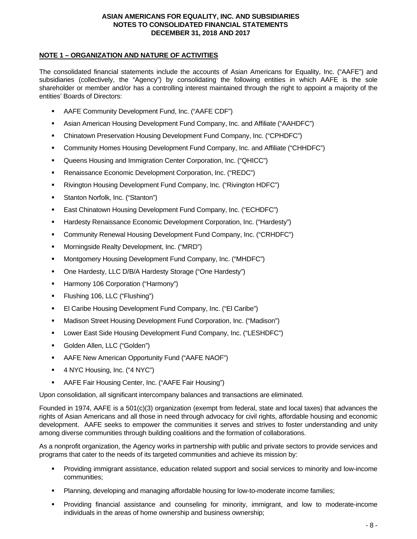#### **NOTE 1 – ORGANIZATION AND NATURE OF ACTIVITIES**

The consolidated financial statements include the accounts of Asian Americans for Equality, Inc. ("AAFE") and subsidiaries (collectively, the "Agency") by consolidating the following entities in which AAFE is the sole shareholder or member and/or has a controlling interest maintained through the right to appoint a majority of the entities' Boards of Directors:

- AAFE Community Development Fund, Inc. ("AAFE CDF")
- Asian American Housing Development Fund Company, Inc. and Affiliate ("AAHDFC")
- Chinatown Preservation Housing Development Fund Company, Inc. ("CPHDFC")
- Community Homes Housing Development Fund Company, Inc. and Affiliate ("CHHDFC")
- Queens Housing and Immigration Center Corporation, Inc. ("QHICC")
- Renaissance Economic Development Corporation, Inc. ("REDC")
- Rivington Housing Development Fund Company, Inc. ("Rivington HDFC")
- Stanton Norfolk, Inc. ("Stanton")
- East Chinatown Housing Development Fund Company, Inc. ("ECHDFC")
- Hardesty Renaissance Economic Development Corporation, Inc. ("Hardesty")
- Community Renewal Housing Development Fund Company, Inc. ("CRHDFC")
- **Morningside Realty Development, Inc. ("MRD")**
- Montgomery Housing Development Fund Company, Inc. ("MHDFC")
- One Hardesty, LLC D/B/A Hardesty Storage ("One Hardesty")
- **Harmony 106 Corporation ("Harmony")**
- **Flushing 106, LLC ("Flushing")**
- **El Caribe Housing Development Fund Company, Inc. ("El Caribe")**
- Madison Street Housing Development Fund Corporation, Inc. ("Madison")
- **EXECT** Lower East Side Housing Development Fund Company, Inc. ("LESHDFC")
- Golden Allen, LLC ("Golden")
- AAFE New American Opportunity Fund ("AAFE NAOF")
- 4 NYC Housing, Inc. ("4 NYC")
- AAFE Fair Housing Center, Inc. ("AAFE Fair Housing")

Upon consolidation, all significant intercompany balances and transactions are eliminated.

Founded in 1974, AAFE is a 501(c)(3) organization (exempt from federal, state and local taxes) that advances the rights of Asian Americans and all those in need through advocacy for civil rights, affordable housing and economic development. AAFE seeks to empower the communities it serves and strives to foster understanding and unity among diverse communities through building coalitions and the formation of collaborations.

As a nonprofit organization, the Agency works in partnership with public and private sectors to provide services and programs that cater to the needs of its targeted communities and achieve its mission by:

- Providing immigrant assistance, education related support and social services to minority and low-income communities;
- Planning, developing and managing affordable housing for low-to-moderate income families;
- Providing financial assistance and counseling for minority, immigrant, and low to moderate-income individuals in the areas of home ownership and business ownership;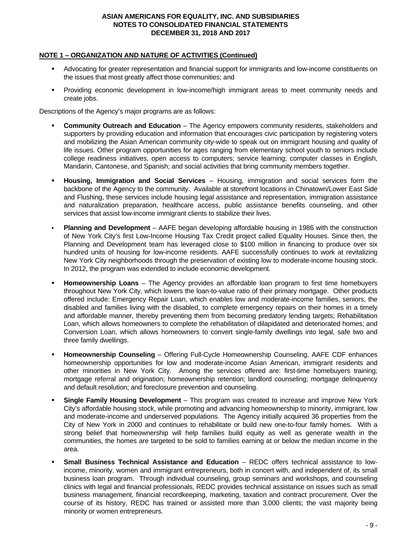#### **NOTE 1 – ORGANIZATION AND NATURE OF ACTIVITIES (Continued)**

- Advocating for greater representation and financial support for immigrants and low-income constituents on the issues that most greatly affect those communities; and
- Providing economic development in low-income/high immigrant areas to meet community needs and create jobs.

Descriptions of the Agency's major programs are as follows:

- **Community Outreach and Education** The Agency empowers community residents, stakeholders and supporters by providing education and information that encourages civic participation by registering voters and mobilizing the Asian American community city-wide to speak out on immigrant housing and quality of life issues. Other program opportunities for ages ranging from elementary school youth to seniors include college readiness initiatives, open access to computers; service learning; computer classes in English, Mandarin, Cantonese, and Spanish; and social activities that bring community members together.
- **Housing, Immigration and Social Services** Housing, immigration and social services form the backbone of the Agency to the community. Available at storefront locations in Chinatown/Lower East Side and Flushing, these services include housing legal assistance and representation, immigration assistance and naturalization preparation, healthcare access, public assistance benefits counseling, and other services that assist low-income immigrant clients to stabilize their lives.
- **Planning and Development** AAFE began developing affordable housing in 1986 with the construction of New York City's first Low-Income Housing Tax Credit project called Equality Houses. Since then, the Planning and Development team has leveraged close to \$100 million in financing to produce over six hundred units of housing for low-income residents. AAFE successfully continues to work at revitalizing New York City neighborhoods through the preservation of existing low to moderate-income housing stock. In 2012, the program was extended to include economic development.
- **Homeownership Loans** The Agency provides an affordable loan program to first time homebuyers throughout New York City, which lowers the loan-to-value ratio of their primary mortgage. Other products offered include: Emergency Repair Loan, which enables low and moderate-income families, seniors, the disabled and families living with the disabled, to complete emergency repairs on their homes in a timely and affordable manner, thereby preventing them from becoming predatory lending targets; Rehabilitation Loan, which allows homeowners to complete the rehabilitation of dilapidated and deteriorated homes; and Conversion Loan, which allows homeowners to convert single-family dwellings into legal, safe two and three family dwellings.
- **Homeownership Counseling** Offering Full-Cycle Homeownership Counseling, AAFE CDF enhances homeownership opportunities for low and moderate-income Asian American, immigrant residents and other minorities in New York City. Among the services offered are: first-time homebuyers training; mortgage referral and origination; homeownership retention; landlord counseling; mortgage delinquency and default resolution; and foreclosure prevention and counseling.
- **Single Family Housing Development** This program was created to increase and improve New York City's affordable housing stock, while promoting and advancing homeownership to minority, immigrant, low and moderate-income and underserved populations. The Agency initially acquired 36 properties from the City of New York in 2000 and continues to rehabilitate or build new one-to-four family homes. With a strong belief that homeownership will help families build equity as well as generate wealth in the communities, the homes are targeted to be sold to families earning at or below the median income in the area.
- **Small Business Technical Assistance and Education REDC offers technical assistance to low**income, minority, women and immigrant entrepreneurs, both in concert with, and independent of, its small business loan program. Through individual counseling, group seminars and workshops, and counseling clinics with legal and financial professionals, REDC provides technical assistance on issues such as small business management, financial recordkeeping, marketing, taxation and contract procurement. Over the course of its history, REDC has trained or assisted more than 3,000 clients; the vast majority being minority or women entrepreneurs.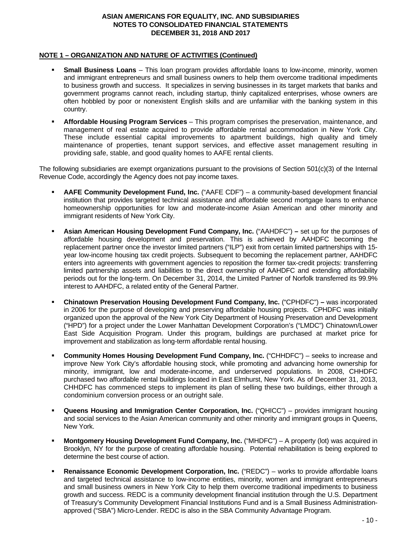#### **NOTE 1 – ORGANIZATION AND NATURE OF ACTIVITIES (Continued)**

- **Small Business Loans** This loan program provides affordable loans to low-income, minority, women and immigrant entrepreneurs and small business owners to help them overcome traditional impediments to business growth and success. It specializes in serving businesses in its target markets that banks and government programs cannot reach, including startup, thinly capitalized enterprises, whose owners are often hobbled by poor or nonexistent English skills and are unfamiliar with the banking system in this country.
- **Affordable Housing Program Services** This program comprises the preservation, maintenance, and management of real estate acquired to provide affordable rental accommodation in New York City. These include essential capital improvements to apartment buildings, high quality and timely maintenance of properties, tenant support services, and effective asset management resulting in providing safe, stable, and good quality homes to AAFE rental clients.

The following subsidiaries are exempt organizations pursuant to the provisions of Section 501(c)(3) of the Internal Revenue Code, accordingly the Agency does not pay income taxes.

- **AAFE Community Development Fund, Inc.** ("AAFE CDF") a community-based development financial institution that provides targeted technical assistance and affordable second mortgage loans to enhance homeownership opportunities for low and moderate-income Asian American and other minority and immigrant residents of New York City.
- **Asian American Housing Development Fund Company, Inc.** ("AAHDFC")set up for the purposes of affordable housing development and preservation. This is achieved by AAHDFC becoming the replacement partner once the investor limited partners ("ILP") exit from certain limited partnerships with 15 year low-income housing tax credit projects. Subsequent to becoming the replacement partner, AAHDFC enters into agreements with government agencies to reposition the former tax-credit projects: transferring limited partnership assets and liabilities to the direct ownership of AAHDFC and extending affordability periods out for the long-term. On December 31, 2014, the Limited Partner of Norfolk transferred its 99.9% interest to AAHDFC, a related entity of the General Partner.
- **Chinatown Preservation Housing Development Fund Company, Inc.** ("CPHDFC") was incorporated in 2006 for the purpose of developing and preserving affordable housing projects. CPHDFC was initially organized upon the approval of the New York City Department of Housing Preservation and Development ("HPD") for a project under the Lower Manhattan Development Corporation's ("LMDC") Chinatown/Lower East Side Acquisition Program. Under this program, buildings are purchased at market price for improvement and stabilization as long-term affordable rental housing.
- **Community Homes Housing Development Fund Company, Inc.** ("CHHDFC") seeks to increase and improve New York City's affordable housing stock, while promoting and advancing home ownership for minority, immigrant, low and moderate-income, and underserved populations. In 2008, CHHDFC purchased two affordable rental buildings located in East Elmhurst, New York. As of December 31, 2013, CHHDFC has commenced steps to implement its plan of selling these two buildings, either through a condominium conversion process or an outright sale.
- **Queens Housing and Immigration Center Corporation, Inc.** ("QHICC") provides immigrant housing and social services to the Asian American community and other minority and immigrant groups in Queens, New York.
- **Montgomery Housing Development Fund Company, Inc.** ("MHDFC") A property (lot) was acquired in Brooklyn, NY for the purpose of creating affordable housing. Potential rehabilitation is being explored to determine the best course of action.
- **Renaissance Economic Development Corporation, Inc.** ("REDC") works to provide affordable loans and targeted technical assistance to low-income entities, minority, women and immigrant entrepreneurs and small business owners in New York City to help them overcome traditional impediments to business growth and success. REDC is a community development financial institution through the U.S. Department of Treasury's Community Development Financial Institutions Fund and is a Small Business Administrationapproved ("SBA") Micro-Lender. REDC is also in the SBA Community Advantage Program.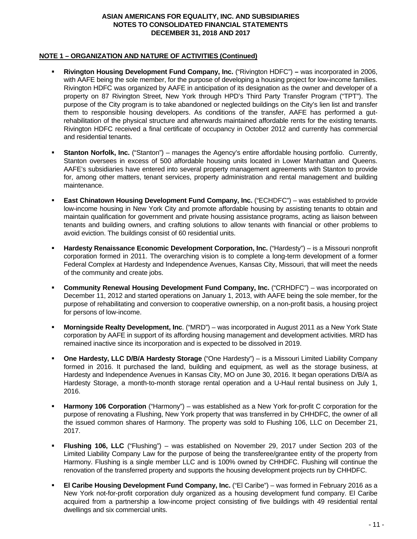#### **NOTE 1 – ORGANIZATION AND NATURE OF ACTIVITIES (Continued)**

- **Rivington Housing Development Fund Company, Inc.** ("Rivington HDFC")was incorporated in 2006, with AAFE being the sole member, for the purpose of developing a housing project for low-income families. Rivington HDFC was organized by AAFE in anticipation of its designation as the owner and developer of a property on 87 Rivington Street, New York through HPD's Third Party Transfer Program ("TPT"). The purpose of the City program is to take abandoned or neglected buildings on the City's lien list and transfer them to responsible housing developers. As conditions of the transfer, AAFE has performed a gutrehabilitation of the physical structure and afterwards maintained affordable rents for the existing tenants. Rivington HDFC received a final certificate of occupancy in October 2012 and currently has commercial and residential tenants.
- **Stanton Norfolk, Inc.** ("Stanton") manages the Agency's entire affordable housing portfolio. Currently, Stanton oversees in excess of 500 affordable housing units located in Lower Manhattan and Queens. AAFE's subsidiaries have entered into several property management agreements with Stanton to provide for, among other matters, tenant services, property administration and rental management and building maintenance.
- **East Chinatown Housing Development Fund Company, Inc.** ("ECHDFC") was established to provide low-income housing in New York City and promote affordable housing by assisting tenants to obtain and maintain qualification for government and private housing assistance programs, acting as liaison between tenants and building owners, and crafting solutions to allow tenants with financial or other problems to avoid eviction. The buildings consist of 60 residential units.
- **Hardesty Renaissance Economic Development Corporation, Inc.** ("Hardesty") is a Missouri nonprofit corporation formed in 2011. The overarching vision is to complete a long-term development of a former Federal Complex at Hardesty and Independence Avenues, Kansas City, Missouri, that will meet the needs of the community and create jobs.
- **Community Renewal Housing Development Fund Company, Inc.** ("CRHDFC") was incorporated on December 11, 2012 and started operations on January 1, 2013, with AAFE being the sole member, for the purpose of rehabilitating and conversion to cooperative ownership, on a non-profit basis, a housing project for persons of low-income.
- **Morningside Realty Development, Inc**. ("MRD") was incorporated in August 2011 as a New York State corporation by AAFE in support of its affording housing management and development activities. MRD has remained inactive since its incorporation and is expected to be dissolved in 2019.
- **One Hardesty, LLC D/B/A Hardesty Storage** ("One Hardesty") is a Missouri Limited Liability Company formed in 2016. It purchased the land, building and equipment, as well as the storage business, at Hardesty and Independence Avenues in Kansas City, MO on June 30, 2016. It began operations D/B/A as Hardesty Storage, a month-to-month storage rental operation and a U-Haul rental business on July 1, 2016.
- **Harmony 106 Corporation** ("Harmony") was established as a New York for-profit C corporation for the purpose of renovating a Flushing, New York property that was transferred in by CHHDFC, the owner of all the issued common shares of Harmony. The property was sold to Flushing 106, LLC on December 21, 2017.
- **Flushing 106, LLC** ("Flushing") was established on November 29, 2017 under Section 203 of the Limited Liability Company Law for the purpose of being the transferee/grantee entity of the property from Harmony. Flushing is a single member LLC and is 100% owned by CHHDFC. Flushing will continue the renovation of the transferred property and supports the housing development projects run by CHHDFC.
- **El Caribe Housing Development Fund Company, Inc.** ("El Caribe") was formed in February 2016 as a New York not-for-profit corporation duly organized as a housing development fund company. El Caribe acquired from a partnership a low-income project consisting of five buildings with 49 residential rental dwellings and six commercial units.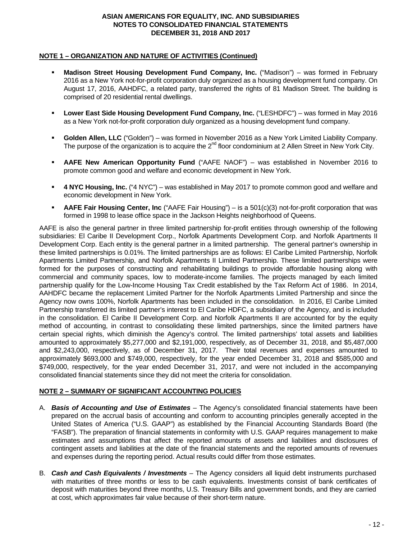#### **NOTE 1 – ORGANIZATION AND NATURE OF ACTIVITIES (Continued)**

- **Madison Street Housing Development Fund Company, Inc.** ("Madison") was formed in February 2016 as a New York not-for-profit corporation duly organized as a housing development fund company. On August 17, 2016, AAHDFC, a related party, transferred the rights of 81 Madison Street. The building is comprised of 20 residential rental dwellings.
- **Lower East Side Housing Development Fund Company, Inc.** ("LESHDFC") was formed in May 2016 as a New York not-for-profit corporation duly organized as a housing development fund company.
- **Golden Allen, LLC** ("Golden") was formed in November 2016 as a New York Limited Liability Company. The purpose of the organization is to acquire the  $2<sup>nd</sup>$  floor condominium at 2 Allen Street in New York City.
- **AAFE New American Opportunity Fund** ("AAFE NAOF") was established in November 2016 to promote common good and welfare and economic development in New York.
- **4 NYC Housing, Inc.** ("4 NYC") was established in May 2017 to promote common good and welfare and economic development in New York.
- **AAFE Fair Housing Center, Inc** ("AAFE Fair Housing") is a 501(c)(3) not-for-profit corporation that was formed in 1998 to lease office space in the Jackson Heights neighborhood of Queens.

AAFE is also the general partner in three limited partnership for-profit entities through ownership of the following subsidiaries: El Caribe II Development Corp., Norfolk Apartments Development Corp. and Norfolk Apartments II Development Corp. Each entity is the general partner in a limited partnership. The general partner's ownership in these limited partnerships is 0.01%. The limited partnerships are as follows: El Caribe Limited Partnership, Norfolk Apartments Limited Partnership, and Norfolk Apartments II Limited Partnership. These limited partnerships were formed for the purposes of constructing and rehabilitating buildings to provide affordable housing along with commercial and community spaces, low to moderate-income families. The projects managed by each limited partnership qualify for the Low-Income Housing Tax Credit established by the Tax Reform Act of 1986. In 2014, AAHDFC became the replacement Limited Partner for the Norfolk Apartments Limited Partnership and since the Agency now owns 100%, Norfolk Apartments has been included in the consolidation. In 2016, El Caribe Limited Partnership transferred its limited partner's interest to El Caribe HDFC, a subsidiary of the Agency, and is included in the consolidation. El Caribe II Development Corp. and Norfolk Apartments II are accounted for by the equity method of accounting, in contrast to consolidating these limited partnerships, since the limited partners have certain special rights, which diminish the Agency's control. The limited partnerships' total assets and liabilities amounted to approximately \$5,277,000 and \$2,191,000, respectively, as of December 31, 2018, and \$5,487,000 and \$2,243,000, respectively, as of December 31, 2017. Their total revenues and expenses amounted to approximately \$693,000 and \$749,000, respectively, for the year ended December 31, 2018 and \$585,000 and \$749,000, respectively, for the year ended December 31, 2017, and were not included in the accompanying consolidated financial statements since they did not meet the criteria for consolidation.

#### **NOTE 2 – SUMMARY OF SIGNIFICANT ACCOUNTING POLICIES**

- A. *Basis of Accounting and Use of Estimates*  The Agency's consolidated financial statements have been prepared on the accrual basis of accounting and conform to accounting principles generally accepted in the United States of America ("U.S. GAAP") as established by the Financial Accounting Standards Board (the "FASB"). The preparation of financial statements in conformity with U.S. GAAP requires management to make estimates and assumptions that affect the reported amounts of assets and liabilities and disclosures of contingent assets and liabilities at the date of the financial statements and the reported amounts of revenues and expenses during the reporting period. Actual results could differ from those estimates.
- B. *Cash and Cash Equivalents / Investments* The Agency considers all liquid debt instruments purchased with maturities of three months or less to be cash equivalents. Investments consist of bank certificates of deposit with maturities beyond three months, U.S. Treasury Bills and government bonds, and they are carried at cost, which approximates fair value because of their short-term nature.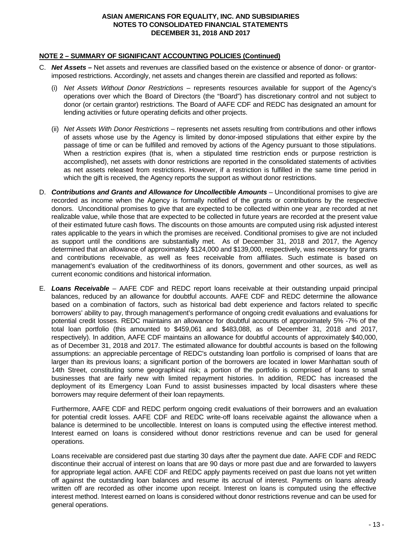#### **NOTE 2 – SUMMARY OF SIGNIFICANT ACCOUNTING POLICIES (Continued)**

- C. *Net Assets* Net assets and revenues are classified based on the existence or absence of donor- or grantorimposed restrictions. Accordingly, net assets and changes therein are classified and reported as follows:
	- (i) *Net Assets Without Donor Restrictions* represents resources available for support of the Agency's operations over which the Board of Directors (the "Board") has discretionary control and not subject to donor (or certain grantor) restrictions. The Board of AAFE CDF and REDC has designated an amount for lending activities or future operating deficits and other projects.
	- (ii) *Net Assets With Donor Restrictions* represents net assets resulting from contributions and other inflows of assets whose use by the Agency is limited by donor-imposed stipulations that either expire by the passage of time or can be fulfilled and removed by actions of the Agency pursuant to those stipulations. When a restriction expires (that is, when a stipulated time restriction ends or purpose restriction is accomplished), net assets with donor restrictions are reported in the consolidated statements of activities as net assets released from restrictions. However, if a restriction is fulfilled in the same time period in which the gift is received, the Agency reports the support as without donor restrictions.
- D. **Contributions and Grants and Allowance for Uncollectible Amounts** Unconditional promises to give are recorded as income when the Agency is formally notified of the grants or contributions by the respective donors. Unconditional promises to give that are expected to be collected within one year are recorded at net realizable value, while those that are expected to be collected in future years are recorded at the present value of their estimated future cash flows. The discounts on those amounts are computed using risk adjusted interest rates applicable to the years in which the promises are received. Conditional promises to give are not included as support until the conditions are substantially met. As of December 31, 2018 and 2017, the Agency determined that an allowance of approximately \$124,000 and \$139,000, respectively, was necessary for grants and contributions receivable, as well as fees receivable from affiliates. Such estimate is based on management's evaluation of the creditworthiness of its donors, government and other sources, as well as current economic conditions and historical information.
- E. *Loans Receivable* AAFE CDF and REDC report loans receivable at their outstanding unpaid principal balances, reduced by an allowance for doubtful accounts. AAFE CDF and REDC determine the allowance based on a combination of factors, such as historical bad debt experience and factors related to specific borrowers' ability to pay, through management's performance of ongoing credit evaluations and evaluations for potential credit losses. REDC maintains an allowance for doubtful accounts of approximately 5% -7% of the total loan portfolio (this amounted to \$459,061 and \$483,088, as of December 31, 2018 and 2017, respectively). In addition, AAFE CDF maintains an allowance for doubtful accounts of approximately \$40,000, as of December 31, 2018 and 2017. The estimated allowance for doubtful accounts is based on the following assumptions: an appreciable percentage of REDC's outstanding loan portfolio is comprised of loans that are larger than its previous loans; a significant portion of the borrowers are located in lower Manhattan south of 14th Street, constituting some geographical risk; a portion of the portfolio is comprised of loans to small businesses that are fairly new with limited repayment histories. In addition, REDC has increased the deployment of its Emergency Loan Fund to assist businesses impacted by local disasters where these borrowers may require deferment of their loan repayments.

Furthermore, AAFE CDF and REDC perform ongoing credit evaluations of their borrowers and an evaluation for potential credit losses. AAFE CDF and REDC write-off loans receivable against the allowance when a balance is determined to be uncollectible. Interest on loans is computed using the effective interest method. Interest earned on loans is considered without donor restrictions revenue and can be used for general operations.

Loans receivable are considered past due starting 30 days after the payment due date. AAFE CDF and REDC discontinue their accrual of interest on loans that are 90 days or more past due and are forwarded to lawyers for appropriate legal action. AAFE CDF and REDC apply payments received on past due loans not yet written off against the outstanding loan balances and resume its accrual of interest. Payments on loans already written off are recorded as other income upon receipt. Interest on loans is computed using the effective interest method. Interest earned on loans is considered without donor restrictions revenue and can be used for general operations.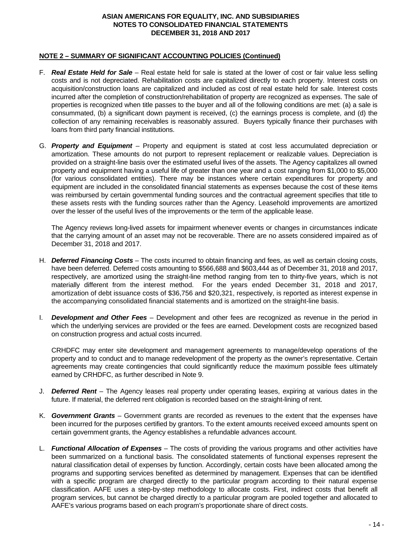#### **NOTE 2 – SUMMARY OF SIGNIFICANT ACCOUNTING POLICIES (Continued)**

- F. *Real Estate Held for Sale*  Real estate held for sale is stated at the lower of cost or fair value less selling costs and is not depreciated. Rehabilitation costs are capitalized directly to each property. Interest costs on acquisition/construction loans are capitalized and included as cost of real estate held for sale. Interest costs incurred after the completion of construction/rehabilitation of property are recognized as expenses. The sale of properties is recognized when title passes to the buyer and all of the following conditions are met: (a) a sale is consummated, (b) a significant down payment is received, (c) the earnings process is complete, and (d) the collection of any remaining receivables is reasonably assured. Buyers typically finance their purchases with loans from third party financial institutions.
- G. *Property and Equipment* Property and equipment is stated at cost less accumulated depreciation or amortization. These amounts do not purport to represent replacement or realizable values. Depreciation is provided on a straight-line basis over the estimated useful lives of the assets. The Agency capitalizes all owned property and equipment having a useful life of greater than one year and a cost ranging from \$1,000 to \$5,000 (for various consolidated entities). There may be instances where certain expenditures for property and equipment are included in the consolidated financial statements as expenses because the cost of these items was reimbursed by certain governmental funding sources and the contractual agreement specifies that title to these assets rests with the funding sources rather than the Agency. Leasehold improvements are amortized over the lesser of the useful lives of the improvements or the term of the applicable lease.

The Agency reviews long-lived assets for impairment whenever events or changes in circumstances indicate that the carrying amount of an asset may not be recoverable. There are no assets considered impaired as of December 31, 2018 and 2017.

- H. *Deferred Financing Costs* The costs incurred to obtain financing and fees, as well as certain closing costs, have been deferred. Deferred costs amounting to \$566,688 and \$603,444 as of December 31, 2018 and 2017, respectively, are amortized using the straight-line method ranging from ten to thirty-five years, which is not materially different from the interest method. For the years ended December 31, 2018 and 2017, amortization of debt issuance costs of \$36,756 and \$20,321, respectively, is reported as interest expense in the accompanying consolidated financial statements and is amortized on the straight-line basis.
- I. *Development and Other Fees* Development and other fees are recognized as revenue in the period in which the underlying services are provided or the fees are earned. Development costs are recognized based on construction progress and actual costs incurred.

CRHDFC may enter site development and management agreements to manage/develop operations of the property and to conduct and to manage redevelopment of the property as the owner's representative. Certain agreements may create contingencies that could significantly reduce the maximum possible fees ultimately earned by CRHDFC, as further described in Note 9.

- J. *Deferred Rent* The Agency leases real property under operating leases, expiring at various dates in the future. If material, the deferred rent obligation is recorded based on the straight-lining of rent.
- K. *Government Grants* Government grants are recorded as revenues to the extent that the expenses have been incurred for the purposes certified by grantors. To the extent amounts received exceed amounts spent on certain government grants, the Agency establishes a refundable advances account.
- L. *Functional Allocation of Expenses* The costs of providing the various programs and other activities have been summarized on a functional basis. The consolidated statements of functional expenses represent the natural classification detail of expenses by function. Accordingly, certain costs have been allocated among the programs and supporting services benefited as determined by management. Expenses that can be identified with a specific program are charged directly to the particular program according to their natural expense classification. AAFE uses a step-by-step methodology to allocate costs. First, indirect costs that benefit all program services, but cannot be charged directly to a particular program are pooled together and allocated to AAFE's various programs based on each program's proportionate share of direct costs.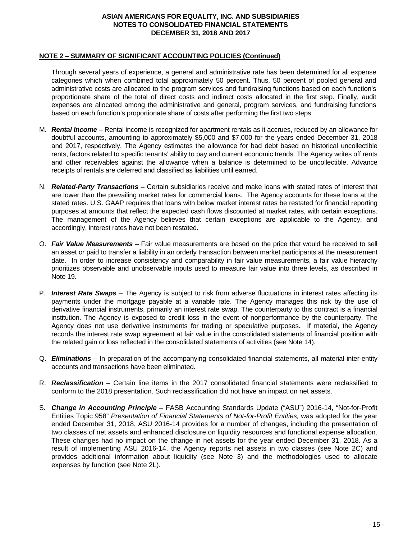#### **NOTE 2 – SUMMARY OF SIGNIFICANT ACCOUNTING POLICIES (Continued)**

Through several years of experience, a general and administrative rate has been determined for all expense categories which when combined total approximately 50 percent. Thus, 50 percent of pooled general and administrative costs are allocated to the program services and fundraising functions based on each function's proportionate share of the total of direct costs and indirect costs allocated in the first step. Finally, audit expenses are allocated among the administrative and general, program services, and fundraising functions based on each function's proportionate share of costs after performing the first two steps.

- M. *Rental Income* Rental income is recognized for apartment rentals as it accrues, reduced by an allowance for doubtful accounts, amounting to approximately \$5,000 and \$7,000 for the years ended December 31, 2018 and 2017, respectively. The Agency estimates the allowance for bad debt based on historical uncollectible rents, factors related to specific tenants' ability to pay and current economic trends. The Agency writes off rents and other receivables against the allowance when a balance is determined to be uncollectible. Advance receipts of rentals are deferred and classified as liabilities until earned.
- N. *Related-Party Transactions* Certain subsidiaries receive and make loans with stated rates of interest that are lower than the prevailing market rates for commercial loans. The Agency accounts for these loans at the stated rates. U.S. GAAP requires that loans with below market interest rates be restated for financial reporting purposes at amounts that reflect the expected cash flows discounted at market rates, with certain exceptions. The management of the Agency believes that certain exceptions are applicable to the Agency, and accordingly, interest rates have not been restated.
- O. *Fair Value Measurements* Fair value measurements are based on the price that would be received to sell an asset or paid to transfer a liability in an orderly transaction between market participants at the measurement date. In order to increase consistency and comparability in fair value measurements, a fair value hierarchy prioritizes observable and unobservable inputs used to measure fair value into three levels, as described in Note 19.
- P. *Interest Rate Swaps* The Agency is subject to risk from adverse fluctuations in interest rates affecting its payments under the mortgage payable at a variable rate. The Agency manages this risk by the use of derivative financial instruments, primarily an interest rate swap. The counterparty to this contract is a financial institution. The Agency is exposed to credit loss in the event of nonperformance by the counterparty. The Agency does not use derivative instruments for trading or speculative purposes. If material, the Agency records the interest rate swap agreement at fair value in the consolidated statements of financial position with the related gain or loss reflected in the consolidated statements of activities (see Note 14).
- Q. *Eliminations* In preparation of the accompanying consolidated financial statements, all material inter-entity accounts and transactions have been eliminated.
- R. *Reclassification* Certain line items in the 2017 consolidated financial statements were reclassified to conform to the 2018 presentation. Such reclassification did not have an impact on net assets.
- S. *Change in Accounting Principle*  FASB Accounting Standards Update ("ASU") 2016-14, "Not-for-Profit Entities Topic 958" Presentation of Financial Statements of Not-for-Profit Entities, was adopted for the year ended December 31, 2018. ASU 2016-14 provides for a number of changes, including the presentation of two classes of net assets and enhanced disclosure on liquidity resources and functional expense allocation. These changes had no impact on the change in net assets for the year ended December 31, 2018. As a result of implementing ASU 2016-14, the Agency reports net assets in two classes (see Note 2C) and provides additional information about liquidity (see Note 3) and the methodologies used to allocate expenses by function (see Note 2L).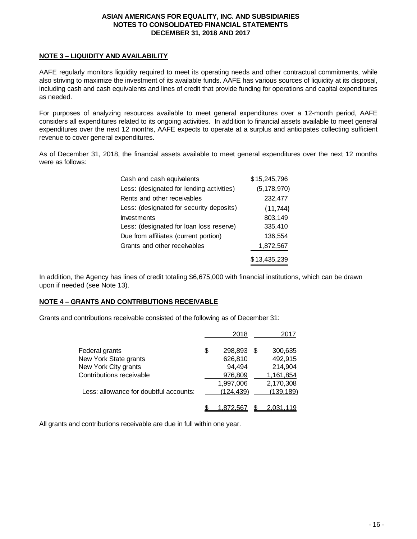#### **NOTE 3 – LIQUIDITY AND AVAILABILITY**

AAFE regularly monitors liquidity required to meet its operating needs and other contractual commitments, while also striving to maximize the investment of its available funds. AAFE has various sources of liquidity at its disposal, including cash and cash equivalents and lines of credit that provide funding for operations and capital expenditures as needed.

For purposes of analyzing resources available to meet general expenditures over a 12-month period, AAFE considers all expenditures related to its ongoing activities. In addition to financial assets available to meet general expenditures over the next 12 months, AAFE expects to operate at a surplus and anticipates collecting sufficient revenue to cover general expenditures.

As of December 31, 2018, the financial assets available to meet general expenditures over the next 12 months were as follows:

| Cash and cash equivalents                 | \$15,245,796  |
|-------------------------------------------|---------------|
| Less: (designated for lending activities) | (5, 178, 970) |
| Rents and other receivables               | 232,477       |
| Less: (designated for security deposits)  | (11, 744)     |
| Investments                               | 803,149       |
| Less: (designated for loan loss reserve)  | 335,410       |
| Due from affiliates (current portion)     | 136.554       |
| Grants and other receivables              | 1,872,567     |
|                                           | \$13,435,239  |

In addition, the Agency has lines of credit totaling \$6,675,000 with financial institutions, which can be drawn upon if needed (see Note 13).

#### **NOTE 4 – GRANTS AND CONTRIBUTIONS RECEIVABLE**

Grants and contributions receivable consisted of the following as of December 31:

|                                        | 2018          |   | 2017       |
|----------------------------------------|---------------|---|------------|
| Federal grants                         | \$<br>298,893 | S | 300,635    |
| New York State grants                  | 626,810       |   | 492,915    |
| New York City grants                   | 94,494        |   | 214,904    |
| Contributions receivable               | 976,809       |   | 1,161,854  |
|                                        | 1,997,006     |   | 2,170,308  |
| Less: allowance for doubtful accounts: | (124, 439)    |   | (139, 189) |
|                                        | 1.872.56      |   |            |

All grants and contributions receivable are due in full within one year.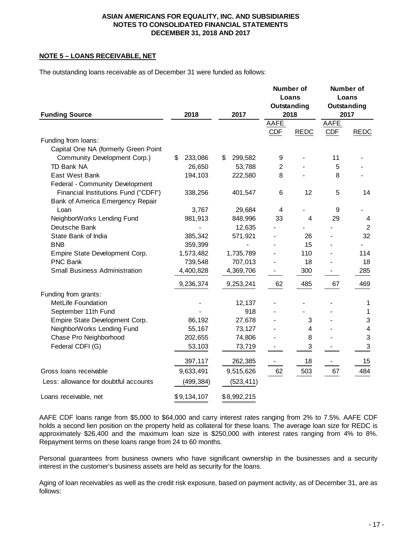#### **NOTE 5 – LOANS RECEIVABLE, NET**

The outstanding loans receivable as of December 31 were funded as follows:

|                                       |               |               |                    | <b>Number of</b><br>Loans<br>Outstanding |                           | <b>Number of</b><br>Loans<br>Outstanding |  |
|---------------------------------------|---------------|---------------|--------------------|------------------------------------------|---------------------------|------------------------------------------|--|
| <b>Funding Source</b>                 | 2018          | 2017          |                    | 2018                                     | 2017                      |                                          |  |
|                                       |               |               | AAFE<br><b>CDF</b> | <b>REDC</b>                              | <b>AAFE</b><br><b>CDF</b> | <b>REDC</b>                              |  |
| Funding from loans:                   |               |               |                    |                                          |                           |                                          |  |
| Capital One NA (formerly Green Point  |               |               |                    |                                          |                           |                                          |  |
| Community Development Corp.)          | 233,086<br>\$ | 299,582<br>\$ | 9                  |                                          | 11                        |                                          |  |
| TD Bank NA                            | 26,650        | 53,788        | $\overline{c}$     |                                          | 5                         |                                          |  |
| East West Bank                        | 194,103       | 222,580       | 8                  |                                          | 8                         |                                          |  |
| Federal - Community Development       |               |               |                    |                                          |                           |                                          |  |
| Financial Institutions Fund ("CDFI")  | 338,256       | 401,547       | 6                  | 12                                       | 5                         | 14                                       |  |
| Bank of America Emergency Repair      |               |               |                    |                                          |                           |                                          |  |
| Loan                                  | 3,767         | 29,684        | 4                  |                                          | 9                         |                                          |  |
| NeighborWorks Lending Fund            | 981,913       | 848,996       | 33                 | 4                                        | 29                        | 4                                        |  |
| Deutsche Bank                         |               | 12,635        |                    |                                          |                           | $\overline{2}$                           |  |
| State Bank of India                   | 385,342       | 571,921       |                    | 26                                       |                           | 32                                       |  |
| <b>BNB</b>                            | 359,399       |               |                    | 15                                       |                           |                                          |  |
| Empire State Development Corp.        | 1,573,482     | 1,735,789     |                    | 110                                      |                           | 114                                      |  |
| <b>PNC Bank</b>                       | 739,548       | 707,013       |                    | 18                                       |                           | 18                                       |  |
| <b>Small Business Administration</b>  | 4,400,828     | 4,369,706     |                    | 300                                      |                           | 285                                      |  |
|                                       | 9,236,374     | 9,253,241     | 62                 | 485                                      | 67                        | 469                                      |  |
| Funding from grants:                  |               |               |                    |                                          |                           |                                          |  |
| MetLife Foundation                    |               | 12,137        |                    |                                          |                           | 1                                        |  |
| September 11th Fund                   |               | 918           |                    |                                          |                           | 1                                        |  |
| Empire State Development Corp.        | 86,192        | 27,678        |                    | 3                                        |                           | 3                                        |  |
| NeighborWorks Lending Fund            | 55,167        | 73,127        |                    | 4                                        |                           | 4                                        |  |
| Chase Pro Neighborhood                | 202,655       | 74,806        |                    | 8                                        |                           | 3                                        |  |
| Federal CDFI (G)                      | 53,103        | 73,719        |                    | 3                                        |                           | 3                                        |  |
|                                       | 397,117       | 262,385       |                    | 18                                       |                           | 15                                       |  |
| Gross Ioans receivable                | 9,633,491     | 9,515,626     | 62                 | 503                                      | 67                        | 484                                      |  |
| Less: allowance for doubtful accounts | (499, 384)    | (523, 411)    |                    |                                          |                           |                                          |  |
| Loans receivable, net                 | \$9,134,107   | \$8,992,215   |                    |                                          |                           |                                          |  |

AAFE CDF loans range from \$5,000 to \$64,000 and carry interest rates ranging from 2% to 7.5%. AAFE CDF holds a second lien position on the property held as collateral for these loans. The average loan size for REDC is approximately \$26,400 and the maximum loan size is \$250,000 with interest rates ranging from 4% to 8%. Repayment terms on these loans range from 24 to 60 months.

Personal guarantees from business owners who have significant ownership in the businesses and a security interest in the customer's business assets are held as security for the loans.

Aging of loan receivables as well as the credit risk exposure, based on payment activity, as of December 31, are as follows: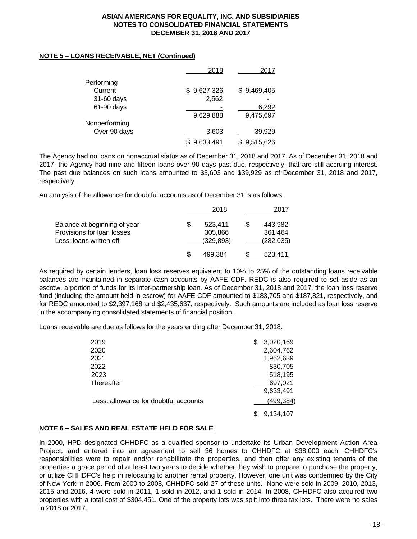#### **NOTE 5 – LOANS RECEIVABLE, NET (Continued)**

|               | 2018        | 2017        |
|---------------|-------------|-------------|
| Performing    |             |             |
| Current       | \$9,627,326 | \$9,469,405 |
| 31-60 days    | 2,562       |             |
| 61-90 days    |             | 6,292       |
|               | 9,629,888   | 9,475,697   |
| Nonperforming |             |             |
| Over 90 days  | 3,603       | 39,929      |
|               | 9,633,491   | \$9,515,626 |

The Agency had no loans on nonaccrual status as of December 31, 2018 and 2017. As of December 31, 2018 and 2017, the Agency had nine and fifteen loans over 90 days past due, respectively, that are still accruing interest. The past due balances on such loans amounted to \$3,603 and \$39,929 as of December 31, 2018 and 2017, respectively.

An analysis of the allowance for doubtful accounts as of December 31 is as follows:

|                                                            |   | 2018               | 2017               |
|------------------------------------------------------------|---|--------------------|--------------------|
| Balance at beginning of year<br>Provisions for loan losses | S | 523.411<br>305.866 | 443.982<br>361.464 |
| Less: Ioans written off                                    |   | (329, 893)         | (282, 035)         |
|                                                            |   | 499.384            | 523.411            |

As required by certain lenders, loan loss reserves equivalent to 10% to 25% of the outstanding loans receivable balances are maintained in separate cash accounts by AAFE CDF. REDC is also required to set aside as an escrow, a portion of funds for its inter-partnership loan. As of December 31, 2018 and 2017, the loan loss reserve fund (including the amount held in escrow) for AAFE CDF amounted to \$183,705 and \$187,821, respectively, and for REDC amounted to \$2,397,168 and \$2,435,637, respectively. Such amounts are included as loan loss reserve in the accompanying consolidated statements of financial position.

Loans receivable are due as follows for the years ending after December 31, 2018:

| 2019                                  | \$<br>3,020,169 |
|---------------------------------------|-----------------|
| 2020                                  | 2,604,762       |
| 2021                                  | 1,962,639       |
| 2022                                  | 830,705         |
| 2023                                  | 518,195         |
| <b>Thereafter</b>                     | 697,021         |
|                                       | 9,633,491       |
| Less: allowance for doubtful accounts | (499, 384)      |
|                                       | 9,134,107       |

#### **NOTE 6 – SALES AND REAL ESTATE HELD FOR SALE**

In 2000, HPD designated CHHDFC as a qualified sponsor to undertake its Urban Development Action Area Project, and entered into an agreement to sell 36 homes to CHHDFC at \$38,000 each. CHHDFC's responsibilities were to repair and/or rehabilitate the properties, and then offer any existing tenants of the properties a grace period of at least two years to decide whether they wish to prepare to purchase the property, or utilize CHHDFC's help in relocating to another rental property. However, one unit was condemned by the City of New York in 2006. From 2000 to 2008, CHHDFC sold 27 of these units. None were sold in 2009, 2010, 2013, 2015 and 2016, 4 were sold in 2011, 1 sold in 2012, and 1 sold in 2014. In 2008, CHHDFC also acquired two properties with a total cost of \$304,451. One of the property lots was split into three tax lots. There were no sales in 2018 or 2017.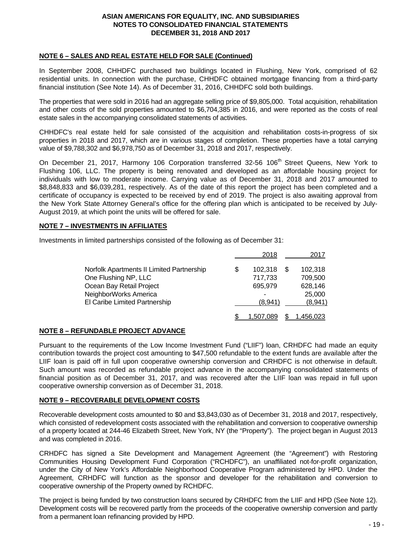#### **NOTE 6 – SALES AND REAL ESTATE HELD FOR SALE (Continued)**

In September 2008, CHHDFC purchased two buildings located in Flushing, New York, comprised of 62 residential units. In connection with the purchase, CHHDFC obtained mortgage financing from a third-party financial institution (See Note 14). As of December 31, 2016, CHHDFC sold both buildings.

The properties that were sold in 2016 had an aggregate selling price of \$9,805,000. Total acquisition, rehabilitation and other costs of the sold properties amounted to \$6,704,385 in 2016, and were reported as the costs of real estate sales in the accompanying consolidated statements of activities.

CHHDFC's real estate held for sale consisted of the acquisition and rehabilitation costs-in-progress of six properties in 2018 and 2017, which are in various stages of completion. These properties have a total carrying value of \$9,788,302 and \$6,978,750 as of December 31, 2018 and 2017, respectively.

On December 21, 2017, Harmony 106 Corporation transferred 32-56 106<sup>th</sup> Street Queens, New York to Flushing 106, LLC. The property is being renovated and developed as an affordable housing project for individuals with low to moderate income. Carrying value as of December 31, 2018 and 2017 amounted to \$8,848,833 and \$6,039,281, respectively. As of the date of this report the project has been completed and a certificate of occupancy is expected to be received by end of 2019. The project is also awaiting approval from the New York State Attorney General's office for the offering plan which is anticipated to be received by July-August 2019, at which point the units will be offered for sale.

#### **NOTE 7 – INVESTMENTS IN AFFILIATES**

Investments in limited partnerships consisted of the following as of December 31:

|                                           | 2018          |   | 2017     |
|-------------------------------------------|---------------|---|----------|
| Norfolk Apartments II Limited Partnership | \$<br>102,318 | S | 102,318  |
| One Flushing NP, LLC                      | 717,733       |   | 709,500  |
| Ocean Bay Retail Project                  | 695,979       |   | 628,146  |
| NeighborWorks America                     |               |   | 25,000   |
| El Caribe Limited Partnership             | (8.941)       |   | (8,941)  |
|                                           | 1,507,089     |   | .456.023 |

#### **NOTE 8 – REFUNDABLE PROJECT ADVANCE**

Pursuant to the requirements of the Low Income Investment Fund ("LIIF") loan, CRHDFC had made an equity contribution towards the project cost amounting to \$47,500 refundable to the extent funds are available after the LIIF loan is paid off in full upon cooperative ownership conversion and CRHDFC is not otherwise in default. Such amount was recorded as refundable project advance in the accompanying consolidated statements of financial position as of December 31, 2017, and was recovered after the LIIF loan was repaid in full upon cooperative ownership conversion as of December 31, 2018.

#### **NOTE 9 – RECOVERABLE DEVELOPMENT COSTS**

Recoverable development costs amounted to \$0 and \$3,843,030 as of December 31, 2018 and 2017, respectively, which consisted of redevelopment costs associated with the rehabilitation and conversion to cooperative ownership of a property located at 244-46 Elizabeth Street, New York, NY (the "Property"). The project began in August 2013 and was completed in 2016.

CRHDFC has signed a Site Development and Management Agreement (the "Agreement") with Restoring Communities Housing Development Fund Corporation ("RCHDFC"), an unaffiliated not-for-profit organization, under the City of New York's Affordable Neighborhood Cooperative Program administered by HPD. Under the Agreement, CRHDFC will function as the sponsor and developer for the rehabilitation and conversion to cooperative ownership of the Property owned by RCHDFC.

The project is being funded by two construction loans secured by CRHDFC from the LIIF and HPD (See Note 12). Development costs will be recovered partly from the proceeds of the cooperative ownership conversion and partly from a permanent loan refinancing provided by HPD.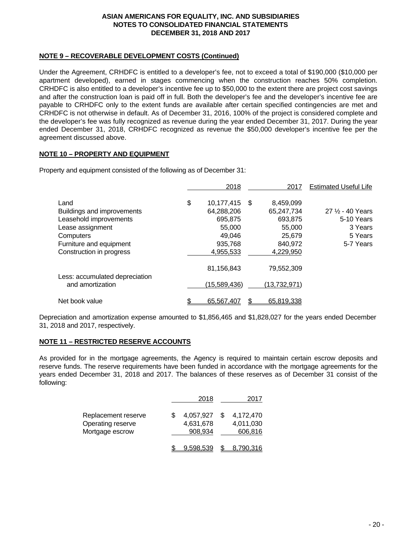#### **NOTE 9 – RECOVERABLE DEVELOPMENT COSTS (Continued)**

Under the Agreement, CRHDFC is entitled to a developer's fee, not to exceed a total of \$190,000 (\$10,000 per apartment developed), earned in stages commencing when the construction reaches 50% completion. CRHDFC is also entitled to a developer's incentive fee up to \$50,000 to the extent there are project cost savings and after the construction loan is paid off in full. Both the developer's fee and the developer's incentive fee are payable to CRHDFC only to the extent funds are available after certain specified contingencies are met and CRHDFC is not otherwise in default. As of December 31, 2016, 100% of the project is considered complete and the developer's fee was fully recognized as revenue during the year ended December 31, 2017. During the year ended December 31, 2018, CRHDFC recognized as revenue the \$50,000 developer's incentive fee per the agreement discussed above.

#### **NOTE 10 – PROPERTY AND EQUIPMENT**

Property and equipment consisted of the following as of December 31:

|                                                                                                                                                      | 2018                                                                                  |     | 2017                                                                           | <b>Estimated Useful Life</b>                                       |
|------------------------------------------------------------------------------------------------------------------------------------------------------|---------------------------------------------------------------------------------------|-----|--------------------------------------------------------------------------------|--------------------------------------------------------------------|
| Land<br>Buildings and improvements<br>Leasehold improvements<br>Lease assignment<br>Computers<br>Furniture and equipment<br>Construction in progress | \$<br>10,177,415<br>64,288,206<br>695,875<br>55,000<br>49.046<br>935,768<br>4,955,533 | \$. | 8,459,099<br>65,247,734<br>693,875<br>55,000<br>25.679<br>840.972<br>4,229,950 | 27 1/2 - 40 Years<br>5-10 Years<br>3 Years<br>5 Years<br>5-7 Years |
| Less: accumulated depreciation<br>and amortization                                                                                                   | 81,156,843<br><u>(15,589,436)</u>                                                     |     | 79,552,309<br>(13,732,971)                                                     |                                                                    |
| Net book value                                                                                                                                       | 65,567,407                                                                            |     | 65,819,338                                                                     |                                                                    |

Depreciation and amortization expense amounted to \$1,856,465 and \$1,828,027 for the years ended December 31, 2018 and 2017, respectively.

#### **NOTE 11 – RESTRICTED RESERVE ACCOUNTS**

As provided for in the mortgage agreements, the Agency is required to maintain certain escrow deposits and reserve funds. The reserve requirements have been funded in accordance with the mortgage agreements for the years ended December 31, 2018 and 2017. The balances of these reserves as of December 31 consist of the following:

|                                                             | 2018                              | 2017                              |
|-------------------------------------------------------------|-----------------------------------|-----------------------------------|
| Replacement reserve<br>Operating reserve<br>Mortgage escrow | 4,057,927<br>4,631,678<br>908,934 | 4,172,470<br>4,011,030<br>606,816 |
|                                                             | 9,598,539                         | 8.790.316                         |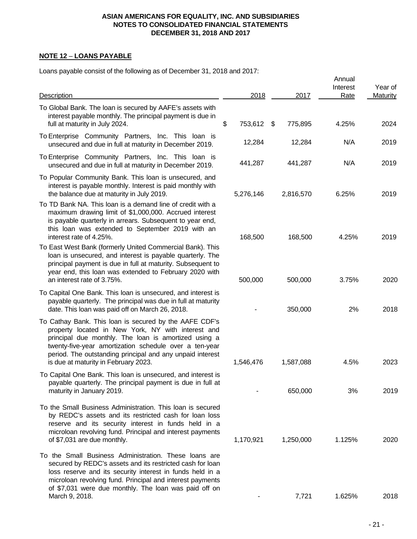## **NOTE 12** – **LOANS PAYABLE**

Loans payable consist of the following as of December 31, 2018 and 2017:

| Description                                                                                                                                                                                                                                                                                                                         | 2018          | 2017          | Annual<br>Interest<br>Rate | Year of<br><b>Maturity</b> |
|-------------------------------------------------------------------------------------------------------------------------------------------------------------------------------------------------------------------------------------------------------------------------------------------------------------------------------------|---------------|---------------|----------------------------|----------------------------|
| To Global Bank. The loan is secured by AAFE's assets with<br>interest payable monthly. The principal payment is due in<br>full at maturity in July 2024.                                                                                                                                                                            | \$<br>753,612 | \$<br>775,895 | 4.25%                      | 2024                       |
| To Enterprise Community Partners, Inc. This Ioan is<br>unsecured and due in full at maturity in December 2019.                                                                                                                                                                                                                      | 12,284        | 12,284        | N/A                        | 2019                       |
| To Enterprise Community Partners, Inc. This Ioan is<br>unsecured and due in full at maturity in December 2019.                                                                                                                                                                                                                      | 441,287       | 441,287       | N/A                        | 2019                       |
| To Popular Community Bank. This loan is unsecured, and<br>interest is payable monthly. Interest is paid monthly with<br>the balance due at maturity in July 2019.                                                                                                                                                                   | 5,276,146     | 2,816,570     | 6.25%                      | 2019                       |
| To TD Bank NA. This loan is a demand line of credit with a<br>maximum drawing limit of \$1,000,000. Accrued interest<br>is payable quarterly in arrears. Subsequent to year end,<br>this loan was extended to September 2019 with an<br>interest rate of 4.25%.                                                                     | 168,500       | 168,500       | 4.25%                      | 2019                       |
| To East West Bank (formerly United Commercial Bank). This<br>loan is unsecured, and interest is payable quarterly. The<br>principal payment is due in full at maturity. Subsequent to<br>year end, this loan was extended to February 2020 with<br>an interest rate of 3.75%.                                                       | 500,000       | 500,000       | 3.75%                      | 2020                       |
| To Capital One Bank. This loan is unsecured, and interest is<br>payable quarterly. The principal was due in full at maturity<br>date. This loan was paid off on March 26, 2018.                                                                                                                                                     |               | 350,000       | 2%                         | 2018                       |
| To Cathay Bank. This loan is secured by the AAFE CDF's<br>property located in New York, NY with interest and<br>principal due monthly. The loan is amortized using a<br>twenty-five-year amortization schedule over a ten-year<br>period. The outstanding principal and any unpaid interest<br>is due at maturity in February 2023. | 1,546,476     | 1,587,088     | 4.5%                       | 2023                       |
| To Capital One Bank. This loan is unsecured, and interest is<br>payable quarterly. The principal payment is due in full at<br>maturity in January 2019.                                                                                                                                                                             |               | 650,000       | 3%                         | 2019                       |
| To the Small Business Administration. This loan is secured<br>by REDC's assets and its restricted cash for loan loss<br>reserve and its security interest in funds held in a<br>microloan revolving fund. Principal and interest payments<br>of \$7,031 are due monthly.                                                            | 1,170,921     | 1,250,000     | 1.125%                     | 2020                       |
| To the Small Business Administration. These loans are<br>secured by REDC's assets and its restricted cash for loan<br>loss reserve and its security interest in funds held in a<br>microloan revolving fund. Principal and interest payments<br>of \$7,031 were due monthly. The loan was paid off on                               |               |               |                            |                            |
| March 9, 2018.                                                                                                                                                                                                                                                                                                                      |               | 7,721         | 1.625%                     | 2018                       |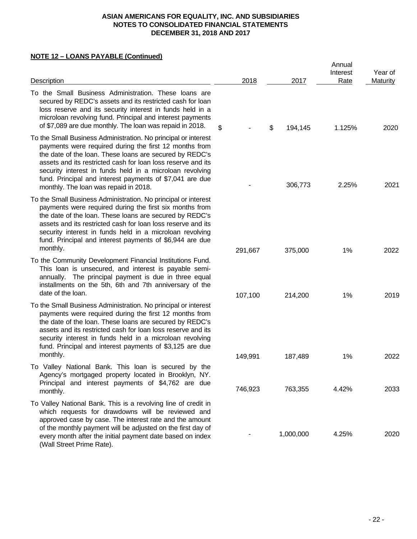## **NOTE 12 – LOANS PAYABLE (Continued)**

| Description                                                                                                                                                                                                                                                                                                                                                                                                          | 2018    | 2017          | Annual<br>Interest<br>Rate | Year of<br><b>Maturity</b> |
|----------------------------------------------------------------------------------------------------------------------------------------------------------------------------------------------------------------------------------------------------------------------------------------------------------------------------------------------------------------------------------------------------------------------|---------|---------------|----------------------------|----------------------------|
| To the Small Business Administration. These loans are<br>secured by REDC's assets and its restricted cash for loan<br>loss reserve and its security interest in funds held in a<br>microloan revolving fund. Principal and interest payments<br>of \$7,089 are due monthly. The loan was repaid in 2018.                                                                                                             | \$      | \$<br>194,145 | 1.125%                     | 2020                       |
| To the Small Business Administration. No principal or interest<br>payments were required during the first 12 months from<br>the date of the loan. These loans are secured by REDC's<br>assets and its restricted cash for loan loss reserve and its<br>security interest in funds held in a microloan revolving<br>fund. Principal and interest payments of \$7,041 are due<br>monthly. The loan was repaid in 2018. |         | 306,773       | 2.25%                      | 2021                       |
| To the Small Business Administration. No principal or interest<br>payments were required during the first six months from<br>the date of the loan. These loans are secured by REDC's<br>assets and its restricted cash for loan loss reserve and its<br>security interest in funds held in a microloan revolving<br>fund. Principal and interest payments of \$6,944 are due<br>monthly.                             | 291,667 | 375,000       | 1%                         | 2022                       |
| To the Community Development Financial Institutions Fund.<br>This loan is unsecured, and interest is payable semi-<br>annually. The principal payment is due in three equal<br>installments on the 5th, 6th and 7th anniversary of the<br>date of the loan.                                                                                                                                                          | 107,100 | 214,200       | 1%                         | 2019                       |
| To the Small Business Administration. No principal or interest<br>payments were required during the first 12 months from<br>the date of the loan. These loans are secured by REDC's<br>assets and its restricted cash for loan loss reserve and its<br>security interest in funds held in a microloan revolving<br>fund. Principal and interest payments of \$3,125 are due<br>monthly.                              | 149,991 | 187,489       | 1%                         | 2022                       |
| To Valley National Bank. This loan is secured by the<br>Agency's mortgaged property located in Brooklyn, NY.<br>Principal and interest payments of \$4,762 are due<br>monthly.                                                                                                                                                                                                                                       | 746,923 | 763,355       | 4.42%                      | 2033                       |
| To Valley National Bank. This is a revolving line of credit in<br>which requests for drawdowns will be reviewed and<br>approved case by case. The interest rate and the amount<br>of the monthly payment will be adjusted on the first day of<br>every month after the initial payment date based on index<br>(Wall Street Prime Rate).                                                                              |         | 1,000,000     | 4.25%                      | 2020                       |
|                                                                                                                                                                                                                                                                                                                                                                                                                      |         |               |                            |                            |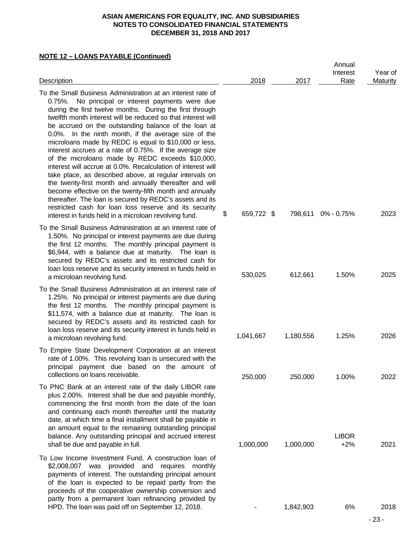## **NOTE 12 – LOANS PAYABLE (Continued)**

| Description                                                                                                                                                                                                                                                                                                                                                                                                                                                                                                                                                                                                                                                                                                                                                                                                                                                                                                                                                           | 2018             | 2017      | Annual<br>Interest<br>Rate | Year of<br><b>Maturity</b> |
|-----------------------------------------------------------------------------------------------------------------------------------------------------------------------------------------------------------------------------------------------------------------------------------------------------------------------------------------------------------------------------------------------------------------------------------------------------------------------------------------------------------------------------------------------------------------------------------------------------------------------------------------------------------------------------------------------------------------------------------------------------------------------------------------------------------------------------------------------------------------------------------------------------------------------------------------------------------------------|------------------|-----------|----------------------------|----------------------------|
| To the Small Business Administration at an interest rate of<br>0.75%. No principal or interest payments were due<br>during the first twelve months. During the first through<br>twelfth month interest will be reduced so that interest will<br>be accrued on the outstanding balance of the loan at<br>0.0%. In the ninth month, if the average size of the<br>microloans made by REDC is equal to \$10,000 or less,<br>interest accrues at a rate of 0.75%. If the average size<br>of the microloans made by REDC exceeds \$10,000,<br>interest will accrue at 0.0%. Recalculation of interest will<br>take place, as described above, at regular intervals on<br>the twenty-first month and annually thereafter and will<br>become effective on the twenty-fifth month and annually<br>thereafter. The loan is secured by REDC's assets and its<br>restricted cash for loan loss reserve and its security<br>interest in funds held in a microloan revolving fund. | \$<br>659,722 \$ |           | 798,611 0% - 0.75%         | 2023                       |
| To the Small Business Administration at an interest rate of<br>1.50%. No principal or interest payments are due during<br>the first 12 months. The monthly principal payment is<br>\$6,944, with a balance due at maturity. The loan is<br>secured by REDC's assets and its restricted cash for<br>loan loss reserve and its security interest in funds held in<br>a microloan revolving fund.                                                                                                                                                                                                                                                                                                                                                                                                                                                                                                                                                                        | 530,025          | 612,661   | 1.50%                      | 2025                       |
| To the Small Business Administration at an interest rate of<br>1.25%. No principal or interest payments are due during<br>the first 12 months. The monthly principal payment is<br>\$11,574, with a balance due at maturity. The loan is<br>secured by REDC's assets and its restricted cash for<br>loan loss reserve and its security interest in funds held in<br>a microloan revolving fund.                                                                                                                                                                                                                                                                                                                                                                                                                                                                                                                                                                       | 1,041,667        | 1,180,556 | 1.25%                      | 2026                       |
| To Empire State Development Corporation at an interest<br>rate of 1.00%. This revolving loan is unsecured with the<br>principal payment due based on the amount of<br>collections on loans receivable.                                                                                                                                                                                                                                                                                                                                                                                                                                                                                                                                                                                                                                                                                                                                                                | 250,000          | 250,000   | 1.00%                      | 2022                       |
| To PNC Bank at an interest rate of the daily LIBOR rate<br>plus 2.00%. Interest shall be due and payable monthly,<br>commencing the first month from the date of the loan<br>and continuing each month thereafter until the maturity<br>date, at which time a final installment shall be payable in<br>an amount equal to the remaining outstanding principal<br>balance. Any outstanding principal and accrued interest<br>shall be due and payable in full.                                                                                                                                                                                                                                                                                                                                                                                                                                                                                                         | 1,000,000        | 1,000,000 | <b>LIBOR</b><br>$+2%$      | 2021                       |
| To Low Income Investment Fund. A construction loan of<br>\$2,008,007 was provided and requires monthly<br>payments of interest. The outstanding principal amount<br>of the loan is expected to be repaid partly from the<br>proceeds of the cooperative ownership conversion and<br>partly from a permanent loan refinancing provided by<br>HPD. The loan was paid off on September 12, 2018.                                                                                                                                                                                                                                                                                                                                                                                                                                                                                                                                                                         |                  | 1,842,903 | 6%                         | 2018                       |
|                                                                                                                                                                                                                                                                                                                                                                                                                                                                                                                                                                                                                                                                                                                                                                                                                                                                                                                                                                       |                  |           |                            | $-23-$                     |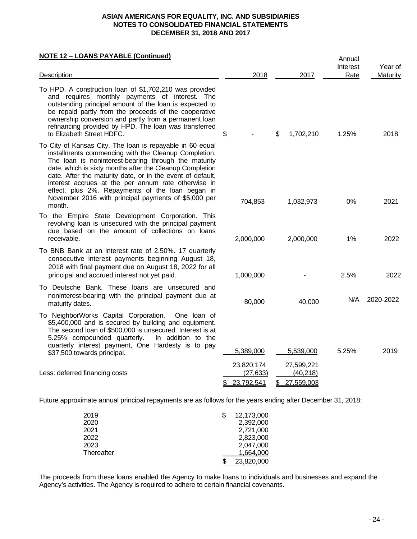#### **NOTE 12** – **LOANS PAYABLE (Continued)**

| <u>NOTE 12 – LOANS PAYABLE (Continued)</u><br>Description                                                                                                                                                                                                                                                                                                                                                                                                                        | 2018                                  | 2017                                                    | Annual<br>Interest<br>Rate | Year of<br>Maturity |
|----------------------------------------------------------------------------------------------------------------------------------------------------------------------------------------------------------------------------------------------------------------------------------------------------------------------------------------------------------------------------------------------------------------------------------------------------------------------------------|---------------------------------------|---------------------------------------------------------|----------------------------|---------------------|
| To HPD. A construction loan of \$1,702,210 was provided<br>and requires monthly payments of interest. The<br>outstanding principal amount of the loan is expected to<br>be repaid partly from the proceeds of the cooperative<br>ownership conversion and partly from a permanent loan<br>refinancing provided by HPD. The loan was transferred<br>to Elizabeth Street HDFC.                                                                                                     | \$                                    | \$<br>1,702,210                                         | 1.25%                      | 2018                |
| To City of Kansas City. The loan is repayable in 60 equal<br>installments commencing with the Cleanup Completion.<br>The loan is noninterest-bearing through the maturity<br>date, which is sixty months after the Cleanup Completion<br>date. After the maturity date, or in the event of default,<br>interest accrues at the per annum rate otherwise in<br>effect, plus 2%. Repayments of the loan began in<br>November 2016 with principal payments of \$5,000 per<br>month. | 704,853                               | 1,032,973                                               | 0%                         | 2021                |
| To the Empire State Development Corporation. This<br>revolving loan is unsecured with the principal payment<br>due based on the amount of collections on loans<br>receivable.                                                                                                                                                                                                                                                                                                    | 2,000,000                             | 2,000,000                                               | 1%                         | 2022                |
| To BNB Bank at an interest rate of 2.50%. 17 quarterly<br>consecutive interest payments beginning August 18,<br>2018 with final payment due on August 18, 2022 for all<br>principal and accrued interest not yet paid.                                                                                                                                                                                                                                                           | 1,000,000                             |                                                         | 2.5%                       | 2022                |
| To Deutsche Bank. These loans are unsecured and<br>noninterest-bearing with the principal payment due at<br>maturity dates.                                                                                                                                                                                                                                                                                                                                                      | 80,000                                | 40,000                                                  | N/A                        | 2020-2022           |
| To NeighborWorks Capital Corporation.<br>One loan of<br>\$5,400,000 and is secured by building and equipment.<br>The second loan of \$500,000 is unsecured. Interest is at<br>5.25% compounded quarterly.<br>In addition to the<br>quarterly interest payment, One Hardesty is to pay<br>\$37,500 towards principal.                                                                                                                                                             | 5,389,000                             | 5,539,000                                               | 5.25%                      | 2019                |
| Less: deferred financing costs                                                                                                                                                                                                                                                                                                                                                                                                                                                   | 23,820,174<br>(27, 633)<br>23,792,541 | 27,599,221<br>(40, 218)<br>27,559,003<br>$\mathbb{S}^-$ |                            |                     |

Future approximate annual principal repayments are as follows for the years ending after December 31, 2018:

| 2019       | 12,173,000 |
|------------|------------|
| 2020       | 2,392,000  |
| 2021       | 2,721,000  |
| 2022       | 2.823,000  |
| 2023       | 2,047,000  |
| Thereafter | 1.664.000  |
|            | 23,820,000 |

The proceeds from these loans enabled the Agency to make loans to individuals and businesses and expand the Agency's activities. The Agency is required to adhere to certain financial covenants.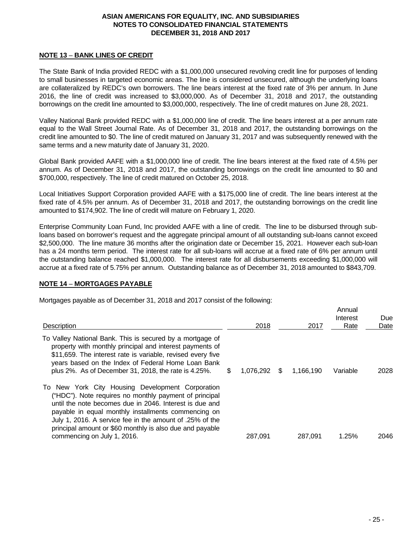#### **NOTE 13** – **BANK LINES OF CREDIT**

The State Bank of India provided REDC with a \$1,000,000 unsecured revolving credit line for purposes of lending to small businesses in targeted economic areas. The line is considered unsecured, although the underlying loans are collateralized by REDC's own borrowers. The line bears interest at the fixed rate of 3% per annum. In June 2016, the line of credit was increased to \$3,000,000. As of December 31, 2018 and 2017, the outstanding borrowings on the credit line amounted to \$3,000,000, respectively. The line of credit matures on June 28, 2021.

Valley National Bank provided REDC with a \$1,000,000 line of credit. The line bears interest at a per annum rate equal to the Wall Street Journal Rate. As of December 31, 2018 and 2017, the outstanding borrowings on the credit line amounted to \$0. The line of credit matured on January 31, 2017 and was subsequently renewed with the same terms and a new maturity date of January 31, 2020.

Global Bank provided AAFE with a \$1,000,000 line of credit. The line bears interest at the fixed rate of 4.5% per annum. As of December 31, 2018 and 2017, the outstanding borrowings on the credit line amounted to \$0 and \$700,000, respectively. The line of credit matured on October 25, 2018.

Local Initiatives Support Corporation provided AAFE with a \$175,000 line of credit. The line bears interest at the fixed rate of 4.5% per annum. As of December 31, 2018 and 2017, the outstanding borrowings on the credit line amounted to \$174,902. The line of credit will mature on February 1, 2020.

Enterprise Community Loan Fund, Inc provided AAFE with a line of credit. The line to be disbursed through subloans based on borrower's request and the aggregate principal amount of all outstanding sub-loans cannot exceed \$2,500,000. The line mature 36 months after the origination date or December 15, 2021. However each sub-loan has a 24 months term period. The interest rate for all sub-loans will accrue at a fixed rate of 6% per annum until the outstanding balance reached \$1,000,000. The interest rate for all disbursements exceeding \$1,000,000 will accrue at a fixed rate of 5.75% per annum. Outstanding balance as of December 31, 2018 amounted to \$843,709.

#### **NOTE 14** – **MORTGAGES PAYABLE**

Mortgages payable as of December 31, 2018 and 2017 consist of the following:

| Description                                                                                                                                                                                                                                                                                                                                                                         | 2018            |     | 2017      | Annual<br>Interest<br>Rate | <b>Due</b><br>Date |
|-------------------------------------------------------------------------------------------------------------------------------------------------------------------------------------------------------------------------------------------------------------------------------------------------------------------------------------------------------------------------------------|-----------------|-----|-----------|----------------------------|--------------------|
| To Valley National Bank. This is secured by a mortgage of<br>property with monthly principal and interest payments of<br>\$11,659. The interest rate is variable, revised every five<br>years based on the Index of Federal Home Loan Bank<br>plus 2%. As of December 31, 2018, the rate is 4.25%.                                                                                  | \$<br>1,076,292 | \$. | 1,166,190 | Variable                   | 2028               |
| To New York City Housing Development Corporation<br>("HDC"). Note requires no monthly payment of principal<br>until the note becomes due in 2046. Interest is due and<br>payable in equal monthly installments commencing on<br>July 1, 2016. A service fee in the amount of .25% of the<br>principal amount or \$60 monthly is also due and payable<br>commencing on July 1, 2016. | 287.091         |     | 287.091   | 1.25%                      | 2046               |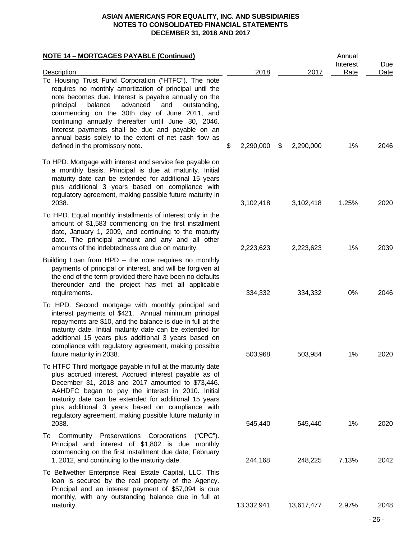Annual

## **NOTE 14** – **MORTGAGES PAYABLE (Continued)**

|                                                                                                                                                                                                                                                                                                                                                                                                                                                                                                           |                        |                        | Interest    | Due          |
|-----------------------------------------------------------------------------------------------------------------------------------------------------------------------------------------------------------------------------------------------------------------------------------------------------------------------------------------------------------------------------------------------------------------------------------------------------------------------------------------------------------|------------------------|------------------------|-------------|--------------|
| Description<br>To Housing Trust Fund Corporation ("HTFC"). The note<br>requires no monthly amortization of principal until the<br>note becomes due. Interest is payable annually on the<br>advanced<br>principal<br>balance<br>and<br>outstanding,<br>commencing on the 30th day of June 2011, and<br>continuing annually thereafter until June 30, 2046.<br>Interest payments shall be due and payable on an<br>annual basis solely to the extent of net cash flow as<br>defined in the promissory note. | 2018<br>\$             | 2017                   | Rate<br>1%  | Date<br>2046 |
| To HPD. Mortgage with interest and service fee payable on<br>a monthly basis. Principal is due at maturity. Initial<br>maturity date can be extended for additional 15 years<br>plus additional 3 years based on compliance with<br>regulatory agreement, making possible future maturity in                                                                                                                                                                                                              | 2,290,000              | 2,290,000<br>\$        |             |              |
| 2038.<br>To HPD. Equal monthly installments of interest only in the<br>amount of \$1,583 commencing on the first installment<br>date, January 1, 2009, and continuing to the maturity<br>date. The principal amount and any and all other<br>amounts of the indebtedness are due on maturity.                                                                                                                                                                                                             | 3,102,418<br>2,223,623 | 3,102,418<br>2,223,623 | 1.25%<br>1% | 2020<br>2039 |
| Building Loan from $HPD -$ the note requires no monthly<br>payments of principal or interest, and will be forgiven at<br>the end of the term provided there have been no defaults<br>thereunder and the project has met all applicable<br>requirements.                                                                                                                                                                                                                                                   | 334,332                | 334,332                | 0%          | 2046         |
| To HPD. Second mortgage with monthly principal and<br>interest payments of \$421. Annual minimum principal<br>repayments are \$10, and the balance is due in full at the<br>maturity date. Initial maturity date can be extended for<br>additional 15 years plus additional 3 years based on<br>compliance with regulatory agreement, making possible<br>future maturity in 2038.                                                                                                                         | 503,968                | 503,984                | 1%          | 2020         |
| To HTFC Third mortgage payable in full at the maturity date<br>plus accrued interest. Accrued interest payable as of<br>December 31, 2018 and 2017 amounted to \$73,446.<br>AAHDFC began to pay the interest in 2010. Initial<br>maturity date can be extended for additional 15 years<br>plus additional 3 years based on compliance with<br>regulatory agreement, making possible future maturity in                                                                                                    |                        |                        |             |              |
| 2038.                                                                                                                                                                                                                                                                                                                                                                                                                                                                                                     | 545,440                | 545,440                | 1%          | 2020         |
| Community Preservations Corporations<br>("CPC").<br>To<br>Principal and interest of \$1,802 is due monthly<br>commencing on the first installment due date, February<br>1, 2012, and continuing to the maturity date.                                                                                                                                                                                                                                                                                     | 244,168                | 248,225                | 7.13%       | 2042         |
| To Bellwether Enterprise Real Estate Capital, LLC. This<br>loan is secured by the real property of the Agency.<br>Principal and an interest payment of \$57,094 is due<br>monthly, with any outstanding balance due in full at                                                                                                                                                                                                                                                                            |                        |                        |             |              |
| maturity.                                                                                                                                                                                                                                                                                                                                                                                                                                                                                                 | 13,332,941             | 13,617,477             | 2.97%       | 2048         |
|                                                                                                                                                                                                                                                                                                                                                                                                                                                                                                           |                        |                        |             | $-26-$       |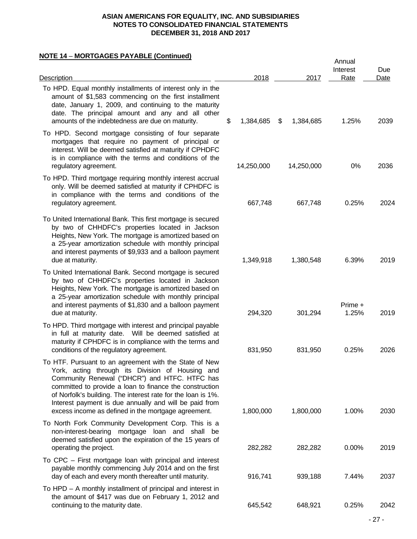## **NOTE 14** – **MORTGAGES PAYABLE (Continued)**

| NONTOAOLO I ATADLE (OOIKINGG)<br>Description                                                                                                                                                                                                                                                                                                                                                            | 2018            | 2017            | Annual<br>Interest<br>Rate | Due<br>Date    |
|---------------------------------------------------------------------------------------------------------------------------------------------------------------------------------------------------------------------------------------------------------------------------------------------------------------------------------------------------------------------------------------------------------|-----------------|-----------------|----------------------------|----------------|
| To HPD. Equal monthly installments of interest only in the<br>amount of \$1,583 commencing on the first installment<br>date, January 1, 2009, and continuing to the maturity<br>date. The principal amount and any and all other<br>amounts of the indebtedness are due on maturity.                                                                                                                    | \$<br>1,384,685 | \$<br>1,384,685 | 1.25%                      | 2039           |
| To HPD. Second mortgage consisting of four separate<br>mortgages that require no payment of principal or<br>interest. Will be deemed satisfied at maturity if CPHDFC<br>is in compliance with the terms and conditions of the<br>regulatory agreement.                                                                                                                                                  | 14,250,000      | 14,250,000      | 0%                         | 2036           |
| To HPD. Third mortgage requiring monthly interest accrual<br>only. Will be deemed satisfied at maturity if CPHDFC is<br>in compliance with the terms and conditions of the<br>regulatory agreement.                                                                                                                                                                                                     | 667,748         | 667,748         | 0.25%                      | 2024           |
| To United International Bank. This first mortgage is secured<br>by two of CHHDFC's properties located in Jackson<br>Heights, New York. The mortgage is amortized based on<br>a 25-year amortization schedule with monthly principal<br>and interest payments of \$9,933 and a balloon payment<br>due at maturity.                                                                                       | 1,349,918       | 1,380,548       | 6.39%                      | 2019           |
| To United International Bank. Second mortgage is secured<br>by two of CHHDFC's properties located in Jackson<br>Heights, New York. The mortgage is amortized based on<br>a 25-year amortization schedule with monthly principal<br>and interest payments of \$1,830 and a balloon payment<br>due at maturity.                                                                                           | 294,320         | 301,294         | Prime +<br>1.25%           | 2019           |
| To HPD. Third mortgage with interest and principal payable<br>in full at maturity date. Will be deemed satisfied at<br>maturity if CPHDFC is in compliance with the terms and<br>conditions of the regulatory agreement.                                                                                                                                                                                | 831,950         | 831,950         | 0.25%                      | 2026           |
| To HTF. Pursuant to an agreement with the State of New<br>York, acting through its Division of Housing and<br>Community Renewal ("DHCR") and HTFC. HTFC has<br>committed to provide a loan to finance the construction<br>of Norfolk's building. The interest rate for the loan is 1%.<br>Interest payment is due annually and will be paid from<br>excess income as defined in the mortgage agreement. | 1,800,000       | 1,800,000       | 1.00%                      | 2030           |
| To North Fork Community Development Corp. This is a<br>non-interest-bearing mortgage loan and shall be<br>deemed satisfied upon the expiration of the 15 years of<br>operating the project.                                                                                                                                                                                                             | 282,282         | 282,282         | 0.00%                      | 2019           |
| To CPC - First mortgage loan with principal and interest<br>payable monthly commencing July 2014 and on the first<br>day of each and every month thereafter until maturity.                                                                                                                                                                                                                             | 916,741         | 939,188         | 7.44%                      | 2037           |
| To HPD – A monthly installment of principal and interest in<br>the amount of \$417 was due on February 1, 2012 and<br>continuing to the maturity date.                                                                                                                                                                                                                                                  | 645,542         | 648,921         | 0.25%                      | 2042<br>$-27-$ |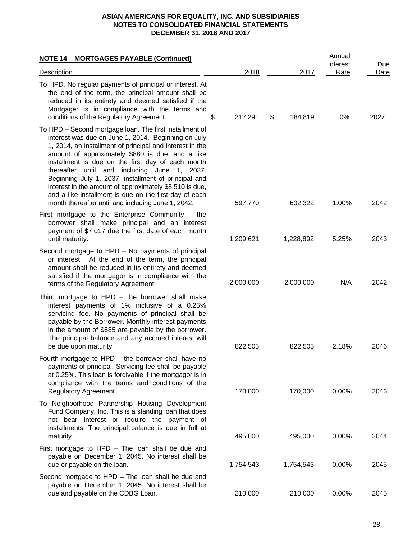| NOTE 14 - MORTGAGES PAYABLE (Continued)                                                                                                                                                                                                                                                                                                                                                                                                                                                                                                                                | 2018          | 2017          | Annual<br>Interest | Due          |
|------------------------------------------------------------------------------------------------------------------------------------------------------------------------------------------------------------------------------------------------------------------------------------------------------------------------------------------------------------------------------------------------------------------------------------------------------------------------------------------------------------------------------------------------------------------------|---------------|---------------|--------------------|--------------|
| <u>Description</u><br>To HPD. No regular payments of principal or interest. At<br>the end of the term, the principal amount shall be<br>reduced in its entirety and deemed satisfied if the<br>Mortgager is in compliance with the terms and<br>conditions of the Regulatory Agreement.                                                                                                                                                                                                                                                                                | \$<br>212,291 | \$<br>184,819 | Rate<br>0%         | Date<br>2027 |
| To HPD - Second mortgage loan. The first installment of<br>interest was due on June 1, 2014. Beginning on July<br>1, 2014, an installment of principal and interest in the<br>amount of approximately \$880 is due, and a like<br>installment is due on the first day of each month<br>thereafter until and including June 1, 2037.<br>Beginning July 1, 2037, installment of principal and<br>interest in the amount of approximately \$8,510 is due,<br>and a like installment is due on the first day of each<br>month thereafter until and including June 1, 2042. | 597,770       | 602,322       | 1.00%              | 2042         |
| First mortgage to the Enterprise Community - the<br>borrower shall make principal and an interest<br>payment of \$7,017 due the first date of each month<br>until maturity.                                                                                                                                                                                                                                                                                                                                                                                            | 1,209,621     | 1,228,892     | 5.25%              | 2043         |
| Second mortgage to HPD - No payments of principal<br>or interest. At the end of the term, the principal<br>amount shall be reduced in its entirety and deemed<br>satisfied if the mortgagor is in compliance with the<br>terms of the Regulatory Agreement.                                                                                                                                                                                                                                                                                                            | 2,000,000     | 2,000,000     | N/A                | 2042         |
| Third mortgage to HPD - the borrower shall make<br>interest payments of 1% inclusive of a 0.25%<br>servicing fee. No payments of principal shall be<br>payable by the Borrower. Monthly interest payments<br>in the amount of \$685 are payable by the borrower.<br>The principal balance and any accrued interest will<br>be due upon maturity.                                                                                                                                                                                                                       | 822,505       | 822,505       | 2.18%              | 2046         |
| Fourth mortgage to HPD - the borrower shall have no<br>payments of principal. Servicing fee shall be payable<br>at 0.25%. This loan is forgivable if the mortgagor is in<br>compliance with the terms and conditions of the<br>Regulatory Agreement.                                                                                                                                                                                                                                                                                                                   | 170,000       | 170,000       | 0.00%              | 2046         |
| To Neighborhood Partnership Housing Development<br>Fund Company, Inc. This is a standing loan that does<br>not bear interest or require the payment of<br>installments. The principal balance is due in full at<br>maturity.                                                                                                                                                                                                                                                                                                                                           | 495,000       | 495,000       | 0.00%              | 2044         |
| First mortgage to HPD - The loan shall be due and<br>payable on December 1, 2045. No interest shall be<br>due or payable on the loan.                                                                                                                                                                                                                                                                                                                                                                                                                                  | 1,754,543     | 1,754,543     | 0.00%              | 2045         |
| Second mortgage to HPD - The loan shall be due and<br>payable on December 1, 2045. No interest shall be<br>due and payable on the CDBG Loan.                                                                                                                                                                                                                                                                                                                                                                                                                           | 210,000       | 210,000       | 0.00%              | 2045         |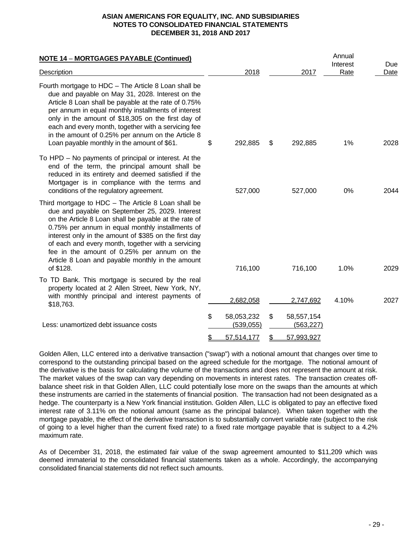| <b>NOTE 14 - MORTGAGES PAYABLE (Continued)</b>                                                                                                                                                                                                                                                                                                                                                                                                     |                                |                                | Annual<br>Interest | Due         |
|----------------------------------------------------------------------------------------------------------------------------------------------------------------------------------------------------------------------------------------------------------------------------------------------------------------------------------------------------------------------------------------------------------------------------------------------------|--------------------------------|--------------------------------|--------------------|-------------|
| <b>Description</b>                                                                                                                                                                                                                                                                                                                                                                                                                                 | 2018                           | 2017                           | Rate               | <b>Date</b> |
| Fourth mortgage to HDC - The Article 8 Loan shall be<br>due and payable on May 31, 2028. Interest on the<br>Article 8 Loan shall be payable at the rate of 0.75%<br>per annum in equal monthly installments of interest<br>only in the amount of \$18,305 on the first day of<br>each and every month, together with a servicing fee<br>in the amount of 0.25% per annum on the Article 8<br>Loan payable monthly in the amount of \$61.           | \$<br>292,885                  | \$<br>292,885                  | 1%                 | 2028        |
| To HPD - No payments of principal or interest. At the<br>end of the term, the principal amount shall be<br>reduced in its entirety and deemed satisfied if the<br>Mortgager is in compliance with the terms and<br>conditions of the regulatory agreement.                                                                                                                                                                                         | 527,000                        | 527,000                        | 0%                 | 2044        |
| Third mortgage to HDC - The Article 8 Loan shall be<br>due and payable on September 25, 2029. Interest<br>on the Article 8 Loan shall be payable at the rate of<br>0.75% per annum in equal monthly installments of<br>interest only in the amount of \$385 on the first day<br>of each and every month, together with a servicing<br>fee in the amount of 0.25% per annum on the<br>Article 8 Loan and payable monthly in the amount<br>of \$128. | 716,100                        | 716,100                        | 1.0%               | 2029        |
| To TD Bank. This mortgage is secured by the real<br>property located at 2 Allen Street, New York, NY,<br>with monthly principal and interest payments of                                                                                                                                                                                                                                                                                           |                                |                                |                    |             |
| \$18,763.                                                                                                                                                                                                                                                                                                                                                                                                                                          | 2,682,058                      | 2,747,692                      | 4.10%              | 2027        |
| Less: unamortized debt issuance costs                                                                                                                                                                                                                                                                                                                                                                                                              | \$<br>58,053,232<br>(539, 055) | \$<br>58,557,154<br>(563, 227) |                    |             |
|                                                                                                                                                                                                                                                                                                                                                                                                                                                    | 57,514,177                     | \$<br>57,993,927               |                    |             |

Golden Allen, LLC entered into a derivative transaction ("swap") with a notional amount that changes over time to correspond to the outstanding principal based on the agreed schedule for the mortgage. The notional amount of the derivative is the basis for calculating the volume of the transactions and does not represent the amount at risk. The market values of the swap can vary depending on movements in interest rates. The transaction creates offbalance sheet risk in that Golden Allen, LLC could potentially lose more on the swaps than the amounts at which these instruments are carried in the statements of financial position. The transaction had not been designated as a hedge. The counterparty is a New York financial institution. Golden Allen, LLC is obligated to pay an effective fixed interest rate of 3.11% on the notional amount (same as the principal balance). When taken together with the mortgage payable, the effect of the derivative transaction is to substantially convert variable rate (subject to the risk of going to a level higher than the current fixed rate) to a fixed rate mortgage payable that is subject to a 4.2% maximum rate.

As of December 31, 2018, the estimated fair value of the swap agreement amounted to \$11,209 which was deemed immaterial to the consolidated financial statements taken as a whole. Accordingly, the accompanying consolidated financial statements did not reflect such amounts.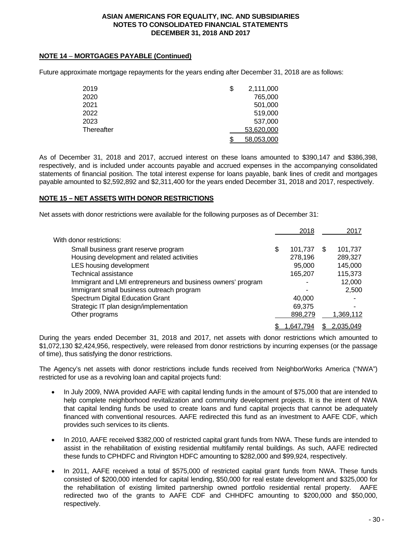#### **NOTE 14** – **MORTGAGES PAYABLE (Continued)**

Future approximate mortgage repayments for the years ending after December 31, 2018 are as follows:

| 2019       | \$<br>2,111,000  |
|------------|------------------|
| 2020       | 765,000          |
| 2021       | 501,000          |
| 2022       | 519,000          |
| 2023       | 537,000          |
| Thereafter | 53,620,000       |
|            | \$<br>58,053,000 |

As of December 31, 2018 and 2017, accrued interest on these loans amounted to \$390,147 and \$386,398, respectively, and is included under accounts payable and accrued expenses in the accompanying consolidated statements of financial position. The total interest expense for loans payable, bank lines of credit and mortgages payable amounted to \$2,592,892 and \$2,311,400 for the years ended December 31, 2018 and 2017, respectively.

#### **NOTE 15 – NET ASSETS WITH DONOR RESTRICTIONS**

Net assets with donor restrictions were available for the following purposes as of December 31:

|                                                              | 2018          | 2017          |
|--------------------------------------------------------------|---------------|---------------|
| With donor restrictions:                                     |               |               |
| Small business grant reserve program                         | \$<br>101.737 | \$<br>101,737 |
| Housing development and related activities                   | 278,196       | 289,327       |
| LES housing development                                      | 95,000        | 145,000       |
| Technical assistance                                         | 165,207       | 115,373       |
| Immigrant and LMI entrepreneurs and business owners' program |               | 12,000        |
| Immigrant small business outreach program                    |               | 2,500         |
| <b>Spectrum Digital Education Grant</b>                      | 40.000        |               |
| Strategic IT plan design/implementation                      | 69,375        |               |
| Other programs                                               | 898,279       | 1,369,112     |
|                                                              | .647.794      | 2.035.049     |

During the years ended December 31, 2018 and 2017, net assets with donor restrictions which amounted to \$1,072,130 \$2,424,956, respectively, were released from donor restrictions by incurring expenses (or the passage of time), thus satisfying the donor restrictions.

The Agency's net assets with donor restrictions include funds received from NeighborWorks America ("NWA") restricted for use as a revolving loan and capital projects fund:

- In July 2009, NWA provided AAFE with capital lending funds in the amount of \$75,000 that are intended to help complete neighborhood revitalization and community development projects. It is the intent of NWA that capital lending funds be used to create loans and fund capital projects that cannot be adequately financed with conventional resources. AAFE redirected this fund as an investment to AAFE CDF, which provides such services to its clients.
- In 2010, AAFE received \$382,000 of restricted capital grant funds from NWA. These funds are intended to assist in the rehabilitation of existing residential multifamily rental buildings. As such, AAFE redirected these funds to CPHDFC and Rivington HDFC amounting to \$282,000 and \$99,924, respectively.
- In 2011, AAFE received a total of \$575,000 of restricted capital grant funds from NWA. These funds consisted of \$200,000 intended for capital lending, \$50,000 for real estate development and \$325,000 for the rehabilitation of existing limited partnership owned portfolio residential rental property. AAFE redirected two of the grants to AAFE CDF and CHHDFC amounting to \$200,000 and \$50,000, respectively.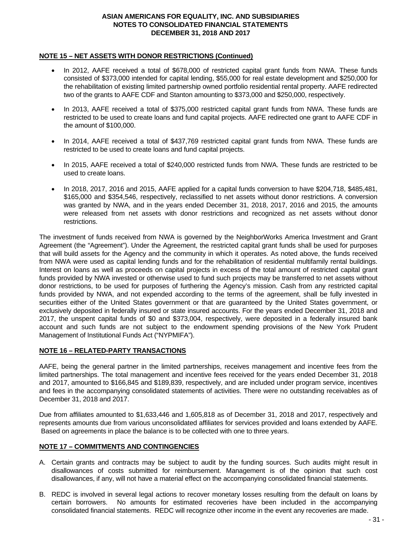#### **NOTE 15 – NET ASSETS WITH DONOR RESTRICTIONS (Continued)**

- In 2012, AAFE received a total of \$678,000 of restricted capital grant funds from NWA. These funds consisted of \$373,000 intended for capital lending, \$55,000 for real estate development and \$250,000 for the rehabilitation of existing limited partnership owned portfolio residential rental property. AAFE redirected two of the grants to AAFE CDF and Stanton amounting to \$373,000 and \$250,000, respectively.
- In 2013, AAFE received a total of \$375,000 restricted capital grant funds from NWA. These funds are restricted to be used to create loans and fund capital projects. AAFE redirected one grant to AAFE CDF in the amount of \$100,000.
- In 2014, AAFE received a total of \$437,769 restricted capital grant funds from NWA. These funds are restricted to be used to create loans and fund capital projects.
- In 2015, AAFE received a total of \$240,000 restricted funds from NWA. These funds are restricted to be used to create loans.
- In 2018, 2017, 2016 and 2015, AAFE applied for a capital funds conversion to have \$204,718, \$485,481, \$165,000 and \$354,546, respectively, reclassified to net assets without donor restrictions. A conversion was granted by NWA, and in the years ended December 31, 2018, 2017, 2016 and 2015, the amounts were released from net assets with donor restrictions and recognized as net assets without donor restrictions.

The investment of funds received from NWA is governed by the NeighborWorks America Investment and Grant Agreement (the "Agreement"). Under the Agreement, the restricted capital grant funds shall be used for purposes that will build assets for the Agency and the community in which it operates. As noted above, the funds received from NWA were used as capital lending funds and for the rehabilitation of residential multifamily rental buildings. Interest on loans as well as proceeds on capital projects in excess of the total amount of restricted capital grant funds provided by NWA invested or otherwise used to fund such projects may be transferred to net assets without donor restrictions, to be used for purposes of furthering the Agency's mission. Cash from any restricted capital funds provided by NWA, and not expended according to the terms of the agreement, shall be fully invested in securities either of the United States government or that are guaranteed by the United States government, or exclusively deposited in federally insured or state insured accounts. For the years ended December 31, 2018 and 2017, the unspent capital funds of \$0 and \$373,004, respectively, were deposited in a federally insured bank account and such funds are not subject to the endowment spending provisions of the New York Prudent Management of Institutional Funds Act ("NYPMIFA").

#### **NOTE 16 – RELATED-PARTY TRANSACTIONS**

AAFE, being the general partner in the limited partnerships, receives management and incentive fees from the limited partnerships. The total management and incentive fees received for the years ended December 31, 2018 and 2017, amounted to \$166,845 and \$189,839, respectively, and are included under program service, incentives and fees in the accompanying consolidated statements of activities. There were no outstanding receivables as of December 31, 2018 and 2017.

Due from affiliates amounted to \$1,633,446 and 1,605,818 as of December 31, 2018 and 2017, respectively and represents amounts due from various unconsolidated affiliates for services provided and loans extended by AAFE. Based on agreements in place the balance is to be collected with one to three years.

#### **NOTE 17 – COMMITMENTS AND CONTINGENCIES**

- A. Certain grants and contracts may be subject to audit by the funding sources. Such audits might result in disallowances of costs submitted for reimbursement. Management is of the opinion that such cost disallowances, if any, will not have a material effect on the accompanying consolidated financial statements.
- B. REDC is involved in several legal actions to recover monetary losses resulting from the default on loans by certain borrowers. No amounts for estimated recoveries have been included in the accompanying consolidated financial statements. REDC will recognize other income in the event any recoveries are made.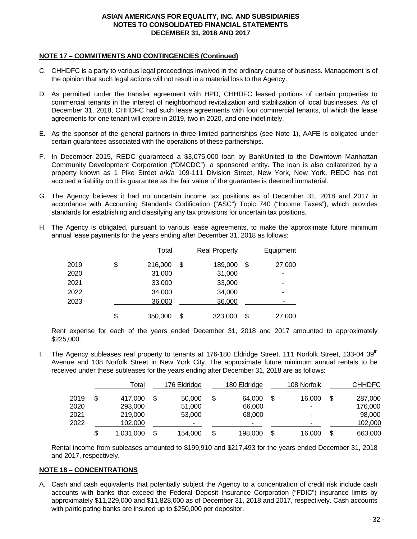#### **NOTE 17 – COMMITMENTS AND CONTINGENCIES (Continued)**

- C. CHHDFC is a party to various legal proceedings involved in the ordinary course of business. Management is of the opinion that such legal actions will not result in a material loss to the Agency.
- D. As permitted under the transfer agreement with HPD, CHHDFC leased portions of certain properties to commercial tenants in the interest of neighborhood revitalization and stabilization of local businesses. As of December 31, 2018, CHHDFC had such lease agreements with four commercial tenants, of which the lease agreements for one tenant will expire in 2019, two in 2020, and one indefinitely.
- E. As the sponsor of the general partners in three limited partnerships (see Note 1), AAFE is obligated under certain guarantees associated with the operations of these partnerships.
- F. In December 2015, REDC guaranteed a \$3,075,000 loan by BankUnited to the Downtown Manhattan Community Development Corporation ("DMCDC"), a sponsored entity. The loan is also collaterized by a property known as 1 Pike Street a/k/a 109-111 Division Street, New York, New York. REDC has not accrued a liability on this guarantee as the fair value of the guarantee is deemed immaterial.
- G. The Agency believes it had no uncertain income tax positions as of December 31, 2018 and 2017 in accordance with Accounting Standards Codification ("ASC") Topic 740 ("Income Taxes"), which provides standards for establishing and classifying any tax provisions for uncertain tax positions.
- H. The Agency is obligated, pursuant to various lease agreements, to make the approximate future minimum annual lease payments for the years ending after December 31, 2018 as follows:

|      | Total         |    | <b>Real Property</b> | Equipment    |
|------|---------------|----|----------------------|--------------|
| 2019 | \$<br>216,000 | S  | 189,000              | \$<br>27,000 |
| 2020 | 31,000        |    | 31,000               | ۰            |
| 2021 | 33,000        |    | 33,000               | ۰            |
| 2022 | 34,000        |    | 34,000               | ۰            |
| 2023 | 36,000        |    | 36,000               |              |
|      | 350,000       | \$ | 323,000              | \$<br>27,000 |

Rent expense for each of the years ended December 31, 2018 and 2017 amounted to approximately \$225,000.

I. The Agency subleases real property to tenants at 176-180 Eldridge Street, 111 Norfolk Street, 133-04 39 $<sup>th</sup>$ </sup> Avenue and 108 Norfolk Street in New York City. The approximate future minimum annual rentals to be received under these subleases for the years ending after December 31, 2018 are as follows:

|      | Total            |     | 176 Eldridge   | 180 Eldridge  |    | 108 Norfolk | <b>CHHDFC</b> |
|------|------------------|-----|----------------|---------------|----|-------------|---------------|
| 2019 | 417.000          | \$. | 50,000         | \$<br>64.000  | S  | 16.000      | 287,000       |
| 2020 | 293,000          |     | 51,000         | 66,000        |    | ۰           | 176,000       |
| 2021 | 219,000          |     | 53,000         | 68,000        |    |             | 98,000        |
| 2022 | 102,000          |     | $\blacksquare$ | -             |    |             | 102,000       |
|      | <u>1,031,000</u> | \$  | 154,000        | \$<br>198,000 | \$ | 16,000      | 663,000       |

Rental income from subleases amounted to \$199,910 and \$217,493 for the years ended December 31, 2018 and 2017, respectively.

#### **NOTE 18 – CONCENTRATIONS**

A. Cash and cash equivalents that potentially subject the Agency to a concentration of credit risk include cash accounts with banks that exceed the Federal Deposit Insurance Corporation ("FDIC") insurance limits by approximately \$11,229,000 and \$11,828,000 as of December 31, 2018 and 2017, respectively. Cash accounts with participating banks are insured up to \$250,000 per depositor.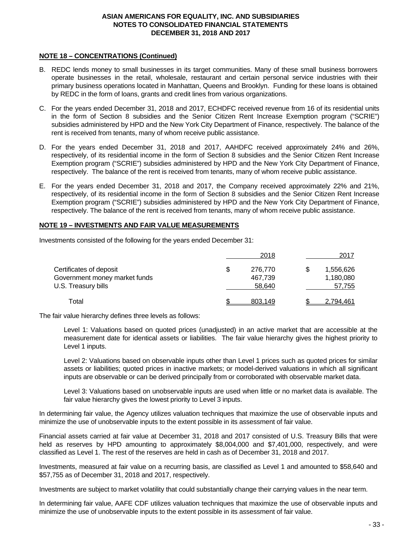#### **NOTE 18 – CONCENTRATIONS (Continued)**

- B. REDC lends money to small businesses in its target communities. Many of these small business borrowers operate businesses in the retail, wholesale, restaurant and certain personal service industries with their primary business operations located in Manhattan, Queens and Brooklyn. Funding for these loans is obtained by REDC in the form of loans, grants and credit lines from various organizations.
- C. For the years ended December 31, 2018 and 2017, ECHDFC received revenue from 16 of its residential units in the form of Section 8 subsidies and the Senior Citizen Rent Increase Exemption program ("SCRIE") subsidies administered by HPD and the New York City Department of Finance, respectively. The balance of the rent is received from tenants, many of whom receive public assistance.
- D. For the years ended December 31, 2018 and 2017, AAHDFC received approximately 24% and 26%, respectively, of its residential income in the form of Section 8 subsidies and the Senior Citizen Rent Increase Exemption program ("SCRIE") subsidies administered by HPD and the New York City Department of Finance, respectively. The balance of the rent is received from tenants, many of whom receive public assistance.
- E. For the years ended December 31, 2018 and 2017, the Company received approximately 22% and 21%, respectively, of its residential income in the form of Section 8 subsidies and the Senior Citizen Rent Increase Exemption program ("SCRIE") subsidies administered by HPD and the New York City Department of Finance, respectively. The balance of the rent is received from tenants, many of whom receive public assistance.

#### **NOTE 19 – INVESTMENTS AND FAIR VALUE MEASUREMENTS**

Investments consisted of the following for the years ended December 31:

|                               |   | 2018    | 2017      |
|-------------------------------|---|---------|-----------|
| Certificates of deposit       | S | 276,770 | 1,556,626 |
| Government money market funds |   | 467,739 | 1,180,080 |
| U.S. Treasury bills           |   | 58,640  | 57,755    |
| Total                         |   | 803.149 | 2,794,461 |

The fair value hierarchy defines three levels as follows:

Level 1: Valuations based on quoted prices (unadjusted) in an active market that are accessible at the measurement date for identical assets or liabilities. The fair value hierarchy gives the highest priority to Level 1 inputs.

Level 2: Valuations based on observable inputs other than Level 1 prices such as quoted prices for similar assets or liabilities; quoted prices in inactive markets; or model-derived valuations in which all significant inputs are observable or can be derived principally from or corroborated with observable market data.

Level 3: Valuations based on unobservable inputs are used when little or no market data is available. The fair value hierarchy gives the lowest priority to Level 3 inputs.

In determining fair value, the Agency utilizes valuation techniques that maximize the use of observable inputs and minimize the use of unobservable inputs to the extent possible in its assessment of fair value.

Financial assets carried at fair value at December 31, 2018 and 2017 consisted of U.S. Treasury Bills that were held as reserves by HPD amounting to approximately \$8,004,000 and \$7,401,000, respectively, and were classified as Level 1. The rest of the reserves are held in cash as of December 31, 2018 and 2017.

Investments, measured at fair value on a recurring basis, are classified as Level 1 and amounted to \$58,640 and \$57,755 as of December 31, 2018 and 2017, respectively.

Investments are subject to market volatility that could substantially change their carrying values in the near term.

In determining fair value, AAFE CDF utilizes valuation techniques that maximize the use of observable inputs and minimize the use of unobservable inputs to the extent possible in its assessment of fair value.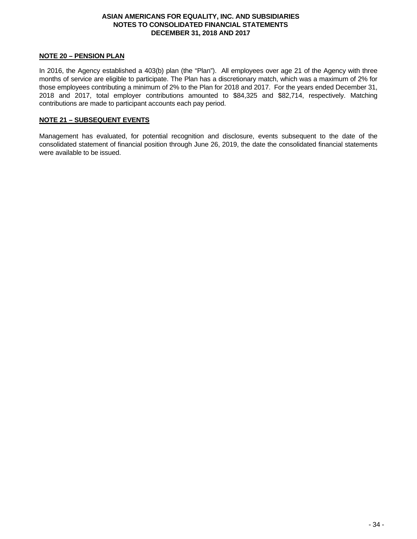#### **NOTE 20 – PENSION PLAN**

In 2016, the Agency established a 403(b) plan (the "Plan"). All employees over age 21 of the Agency with three months of service are eligible to participate. The Plan has a discretionary match, which was a maximum of 2% for those employees contributing a minimum of 2% to the Plan for 2018 and 2017. For the years ended December 31, 2018 and 2017, total employer contributions amounted to \$84,325 and \$82,714, respectively. Matching contributions are made to participant accounts each pay period.

#### **NOTE 21 – SUBSEQUENT EVENTS**

Management has evaluated, for potential recognition and disclosure, events subsequent to the date of the consolidated statement of financial position through June 26, 2019, the date the consolidated financial statements were available to be issued.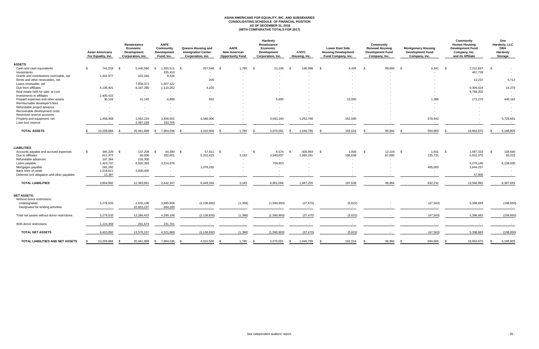#### **ASIAN AMERICANS FOR EQUALITY, INC. AND SUBSIDIARIES CONSOLIDATING SCHEDULE OF FINANCIAL POSITION AS OF DECEMBER 31, 2018 (WITH COMPARATIVE TOTALS FOR 2017)**

|                                                                                                                                                                | <b>Asian Americans</b><br>For Equality, Inc.                              | Renaissance<br>Economic<br>Development<br>Corporation, Inc.                  | <b>AAFE</b><br>Community<br><b>Development</b><br>Fund, Inc. | Queens Housing and<br><b>Immigration Center</b><br>Corporation, Inc. | <b>AAFE</b><br><b>New American</b><br><b>Opportunity Fund</b> | Hardesty<br>Renaissance<br>Economic<br>Development<br>Corporation, Inc. | 4 NYC<br>Housing, Inc.       | <b>Lower East Side</b><br><b>Housing Development</b><br>Fund Company, Inc. | Community<br><b>Renewal Housing</b><br><b>Development Fund</b><br>Company, Inc. | <b>Montgomery Housing</b><br><b>Development Fund</b><br>Company, Inc. | Community<br><b>Homes Housing</b><br><b>Development Fund</b><br>Company, Inc.<br>and its Affiliate | One<br>Hardesty, LLC<br><b>DBA</b><br>Hardesty<br><b>Storage</b> |
|----------------------------------------------------------------------------------------------------------------------------------------------------------------|---------------------------------------------------------------------------|------------------------------------------------------------------------------|--------------------------------------------------------------|----------------------------------------------------------------------|---------------------------------------------------------------|-------------------------------------------------------------------------|------------------------------|----------------------------------------------------------------------------|---------------------------------------------------------------------------------|-----------------------------------------------------------------------|----------------------------------------------------------------------------------------------------|------------------------------------------------------------------|
| <b>ASSETS</b>                                                                                                                                                  |                                                                           |                                                                              |                                                              |                                                                      |                                                               |                                                                         |                              |                                                                            |                                                                                 |                                                                       |                                                                                                    |                                                                  |
| Cash and cash equivalents                                                                                                                                      | \$<br>741,519                                                             | <b>S</b><br>5,445,560                                                        | 1,355,511<br>\$                                              | 257,548<br>- 9                                                       | 1,785<br>- \$                                                 | 21,236<br>\$                                                            | 196.996                      | 4,426<br>- \$                                                              | 99.994<br>-\$                                                                   | 4,341<br>- \$                                                         | 2,212,697<br>- \$                                                                                  | - \$                                                             |
| Investments                                                                                                                                                    |                                                                           | $\overline{\phantom{a}}$                                                     | 335,410                                                      |                                                                      |                                                               |                                                                         |                              |                                                                            |                                                                                 |                                                                       | 467,739                                                                                            |                                                                  |
| Grants and contributions receivable, net                                                                                                                       | 1,441,977                                                                 | 422,264                                                                      | 8,326                                                        | $\sim$                                                               |                                                               |                                                                         |                              |                                                                            |                                                                                 |                                                                       |                                                                                                    |                                                                  |
| Rents and other receivables, net<br>Loans receivable, net                                                                                                      | $\sim$<br>$\sim$                                                          | $\overline{\phantom{a}}$<br>7,856,371                                        | 1,507,422                                                    | 200<br>$\sim$                                                        |                                                               |                                                                         |                              |                                                                            |                                                                                 |                                                                       | 13,237<br>$\sim$                                                                                   | 5,712                                                            |
| Due from affiliates                                                                                                                                            | 4,136,401                                                                 | 8,347,280                                                                    | 1,110,262                                                    | 4,100                                                                |                                                               |                                                                         |                              |                                                                            |                                                                                 |                                                                       | 6,309,424                                                                                          | 14,270                                                           |
| Real estate held for sale, at cost                                                                                                                             |                                                                           | $\sim$                                                                       |                                                              | $\sim$                                                               |                                                               |                                                                         |                              |                                                                            |                                                                                 |                                                                       | 9,788,302                                                                                          |                                                                  |
| Investments in affiliates                                                                                                                                      | 2,400,415                                                                 | $\sim$                                                                       | $\sim$                                                       | $\sim$                                                               |                                                               |                                                                         |                              | $\sim$                                                                     |                                                                                 |                                                                       | $\sim$                                                                                             |                                                                  |
| Prepaid expenses and other assets                                                                                                                              | 30,104                                                                    | 21,145                                                                       | 6,899                                                        | 652                                                                  |                                                               | 5,695                                                                   |                              | 15,000                                                                     |                                                                                 | 1,386                                                                 | 172,276                                                                                            | 440,162                                                          |
| Reimbursable developer's fees                                                                                                                                  | $\sim$                                                                    |                                                                              |                                                              | $\sim$                                                               |                                                               |                                                                         |                              | $\sim$                                                                     |                                                                                 | $\overline{a}$                                                        |                                                                                                    |                                                                  |
| Refundable project advance                                                                                                                                     | $\overline{\phantom{a}}$                                                  |                                                                              |                                                              |                                                                      |                                                               |                                                                         |                              |                                                                            |                                                                                 |                                                                       |                                                                                                    |                                                                  |
| Recoverable development costs                                                                                                                                  | $\blacksquare$                                                            |                                                                              |                                                              |                                                                      |                                                               |                                                                         |                              |                                                                            |                                                                                 |                                                                       |                                                                                                    |                                                                  |
| Restricted reserve accounts                                                                                                                                    |                                                                           |                                                                              |                                                              |                                                                      |                                                               |                                                                         |                              |                                                                            |                                                                                 |                                                                       |                                                                                                    |                                                                  |
| Property and equipment, net                                                                                                                                    | 1,458,468                                                                 | 1,452,210                                                                    | 3,456,501                                                    | 4,048,006                                                            |                                                               | 3,043,160                                                               | 1,252,789                    | 162,590                                                                    |                                                                                 | 578,942                                                               |                                                                                                    | 5,728,661                                                        |
| Loan loss reserve                                                                                                                                              |                                                                           | 2,397,168                                                                    | 183,705                                                      | $\overline{a}$                                                       |                                                               |                                                                         |                              | $\sim$                                                                     |                                                                                 |                                                                       |                                                                                                    | $\sim 100$                                                       |
| <b>TOTAL ASSETS</b>                                                                                                                                            | 10,208,884                                                                | 25,941,998                                                                   | 7,964,036<br>\$.                                             | 4,310,506                                                            | 1,785                                                         | 3,070,091                                                               | 1,449,785                    | 182,016                                                                    | 99,994                                                                          | 584,669                                                               | 18,963,675                                                                                         | 6,188,805                                                        |
| LIABILITIES<br>Accounts payable and accrued expenses<br>Due to affiliates<br>Refundable advances<br>Loans payable<br>Mortgages payable<br>Bank lines of credit | 345,239<br>-\$<br>612,372<br>107,384<br>1,423,737<br>282,282<br>1,018,611 | 137.208<br><b>S</b><br>90,000<br>216,300<br>8,920,383<br>$\sim$<br>3,000,000 | 44,390 \$<br>- \$<br>182,801<br>$\sim$<br>3,214,976          | 57,611 \$<br>5,315,433<br>$\sim$<br>$\sim$<br>1,076,292              | $\sim$<br>3,183                                               | 6,574<br>\$<br>3,949,657<br>704,853                                     | 406,964<br>- \$<br>1,080,291 | 1,000<br>- S<br>186,638                                                    | - \$<br>$12,104$ \$<br>87,890                                                   | 1,501<br>135,731<br>$\sim$<br>$\sim$<br>495,000<br>$\blacksquare$     | 1,087,333<br>\$<br>5,501,370<br>$\sim$<br>5,276,146<br>1,644,237                                   | 155,640<br>- \$<br>93,015<br>6,139,000                           |
| Deferred rent obligation and other payables                                                                                                                    | 15,367                                                                    | $\sim$                                                                       |                                                              | $\sim$                                                               |                                                               |                                                                         |                              |                                                                            |                                                                                 | $\sim$                                                                | 57,906                                                                                             | $\sim$                                                           |
|                                                                                                                                                                |                                                                           |                                                                              |                                                              |                                                                      |                                                               |                                                                         |                              |                                                                            |                                                                                 |                                                                       |                                                                                                    |                                                                  |
| <b>TOTAL LIABILITIES</b>                                                                                                                                       | 3,804,992                                                                 | 12,363,891                                                                   | 3,442,167                                                    | 6,449,336                                                            | 3,183                                                         | 4,661,084                                                               | 1,487,255                    | 187,638                                                                    | 99,994                                                                          | 632,232                                                               | 13,566,992                                                                                         | 6,387,655                                                        |
| <b>NET ASSETS:</b><br>Without donor restrictions:<br>Undesignated<br>Designated for lending activities                                                         | 5,279,533<br>$\sim$                                                       | 2,633,196<br>10,653,237                                                      | 3,885,908<br>404,200                                         | (2, 138, 830)                                                        | (1, 398)                                                      | (1,590,993)                                                             | (37, 470)                    | (5,622)<br>$\sim$                                                          |                                                                                 | (47, 563)                                                             | 5,396,683<br>$\sim$                                                                                | (198, 850)<br>$\sim 100$                                         |
| Total net assets without donor restrictions                                                                                                                    | 5,279,533                                                                 | 13,286,433                                                                   | 4,290,108                                                    | (2, 138, 830)                                                        | (1, 398)                                                      | (1,590,993)                                                             | (37, 470)                    | (5,622)                                                                    |                                                                                 | (47, 563)                                                             | 5,396,683                                                                                          | (198, 850)                                                       |
| With donor restrictions                                                                                                                                        | 1,124,359                                                                 | 291,674                                                                      | 231,761                                                      |                                                                      |                                                               |                                                                         |                              |                                                                            |                                                                                 |                                                                       |                                                                                                    |                                                                  |
| <b>TOTAL NET ASSETS</b>                                                                                                                                        | 6,403,892                                                                 | 13,578,107                                                                   | 4,521,869                                                    | (2, 138, 830)                                                        | (1, 398)                                                      | (1,590,993)                                                             | (37, 470)                    | (5,622)                                                                    |                                                                                 | (47, 563)                                                             | 5,396,683                                                                                          | (198, 850)                                                       |
| TOTAL LIABILITIES AND NET ASSETS                                                                                                                               | 10,208,884                                                                | 25,941,998                                                                   | 7,964,036<br>\$.                                             | 4,310,506                                                            | 1,785                                                         | 3,070,091                                                               | 1,449,785                    | 182,016                                                                    | 99,994                                                                          | 584,669                                                               | 18,963,675                                                                                         | 6,188,805                                                        |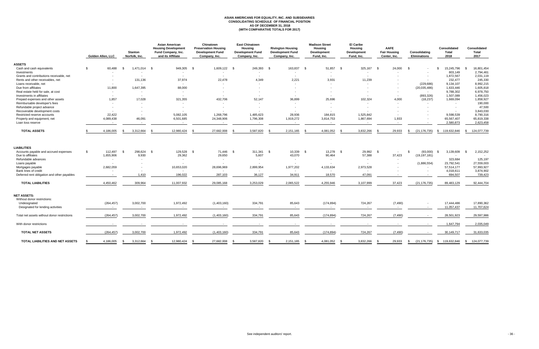#### **ASIAN AMERICANS FOR EQUALITY, INC. AND SUBSIDIARIES CONSOLIDATING SCHEDULE OF FINANCIAL POSITION AS OF DECEMBER 31, 2018 (WITH COMPARATIVE TOTALS FOR 2017)**

|                                                                                                                                                                                                               | Golden Allen, LLC                                           | <b>Stanton</b><br>Norfolk, Inc.   | <b>Asian American</b><br><b>Housing Development</b><br>Fund Company, Inc.<br>and its Affiliate | Chinatown<br><b>Preservation Housing</b><br><b>Development Fund</b><br>Company, Inc. | <b>East Chinatown</b><br>Housing<br><b>Development Fund</b><br>Company, Inc. | <b>Rivington Housing</b><br><b>Development Fund</b><br>Company, Inc. | <b>Madison Street</b><br>Housing<br>Development<br>Fund, Inc. | <b>El Caribe</b><br><b>Housing</b><br>Development<br>Fund, Inc. | <b>AAFE</b><br><b>Fair Housing</b><br>Center, Inc. | Consolidating<br><b>Eliminations</b>              | Consolidated<br>Total<br>2018                                                  | Consolidated<br>Total<br>2017                                                    |
|---------------------------------------------------------------------------------------------------------------------------------------------------------------------------------------------------------------|-------------------------------------------------------------|-----------------------------------|------------------------------------------------------------------------------------------------|--------------------------------------------------------------------------------------|------------------------------------------------------------------------------|----------------------------------------------------------------------|---------------------------------------------------------------|-----------------------------------------------------------------|----------------------------------------------------|---------------------------------------------------|--------------------------------------------------------------------------------|----------------------------------------------------------------------------------|
| <b>ASSETS</b>                                                                                                                                                                                                 |                                                             |                                   |                                                                                                |                                                                                      |                                                                              |                                                                      |                                                               |                                                                 |                                                    |                                                   |                                                                                |                                                                                  |
| Cash and cash equivalents                                                                                                                                                                                     | \$<br>60.488                                                | 1,471,014 \$<br>- \$              | 949,305                                                                                        | 1,609,122<br>- \$                                                                    | 249,393<br>$^{\circ}$                                                        | 163,837<br>- \$                                                      | 51,857<br><b>S</b>                                            | $^{\circ}$<br>325,167                                           | 24,000<br>- \$                                     | - \$                                              | 15,245,796<br>-S                                                               | 16,801,454                                                                       |
| Investments                                                                                                                                                                                                   |                                                             |                                   |                                                                                                |                                                                                      |                                                                              |                                                                      |                                                               |                                                                 |                                                    |                                                   | 803,149                                                                        | 2,794,461                                                                        |
| Grants and contributions receivable, net                                                                                                                                                                      |                                                             |                                   |                                                                                                | $\overline{\phantom{a}}$                                                             |                                                                              | $\sim$                                                               |                                                               |                                                                 |                                                    |                                                   | 1,872,567                                                                      | 2,031,119                                                                        |
| Rents and other receivables, net                                                                                                                                                                              |                                                             | 131,136                           | 37,974                                                                                         | 22,478                                                                               | 4,349                                                                        | 2,221                                                                | 3,931                                                         | 11,239                                                          |                                                    |                                                   | 232,477                                                                        | 245,330                                                                          |
| Loans receivable, net                                                                                                                                                                                         |                                                             | $\sim$                            |                                                                                                |                                                                                      | $\sim$                                                                       | $\sim$                                                               | $\sim$                                                        |                                                                 |                                                    | (229, 686)                                        | 9,134,107                                                                      | 8,992,215                                                                        |
| Due from affiliates                                                                                                                                                                                           | 11,800                                                      | 1,647,395                         | 88,000                                                                                         |                                                                                      |                                                                              |                                                                      |                                                               |                                                                 |                                                    | (20, 035, 486)                                    | 1,633,446                                                                      | 1,605,818<br>6,978,750                                                           |
| Real estate held for sale, at cost<br>Investments in affiliates                                                                                                                                               | $\overline{\phantom{a}}$                                    | $\sim$<br>$\sim$                  | $\sim$<br>$\sim$                                                                               |                                                                                      | $\sim$                                                                       |                                                                      | $\overline{\phantom{a}}$                                      |                                                                 | $\overline{\phantom{a}}$                           | $\sim$                                            | 9,788,302<br>1,507,089                                                         | 1,456,023                                                                        |
| Prepaid expenses and other assets                                                                                                                                                                             | 1,857                                                       | 17,028                            | 321,355                                                                                        | 432,706                                                                              | 52,147                                                                       | $\sim$<br>36,899                                                     | 25,696                                                        | 102,324                                                         | $\sim$<br>4,000                                    | (893, 326)<br>(18, 237)                           | 1,669,094                                                                      | 1,858,927                                                                        |
| Reimbursable developer's fees                                                                                                                                                                                 |                                                             |                                   |                                                                                                |                                                                                      |                                                                              |                                                                      |                                                               |                                                                 | $\sim$                                             |                                                   |                                                                                | 190,000                                                                          |
| Refundable project advance                                                                                                                                                                                    |                                                             |                                   |                                                                                                |                                                                                      |                                                                              |                                                                      |                                                               |                                                                 |                                                    |                                                   |                                                                                | 47,500                                                                           |
| Recoverable development costs                                                                                                                                                                                 |                                                             |                                   |                                                                                                |                                                                                      |                                                                              |                                                                      |                                                               |                                                                 |                                                    |                                                   |                                                                                | 3,843,030                                                                        |
| Restricted reserve accounts                                                                                                                                                                                   | 22,422                                                      | $\sim$                            | 5,082,105                                                                                      | 1,268,796                                                                            | 1,485,623                                                                    | 28,936                                                               | 184,815                                                       | 1,525,842                                                       | $\sim$                                             |                                                   | 9,598,539                                                                      | 8,790,316                                                                        |
| Property and equipment, net                                                                                                                                                                                   | 4,089,438                                                   | 46,091                            | 6,501,685                                                                                      | 24,348,906                                                                           | 1,796,308                                                                    | 1,919,272                                                            | 3,814,753                                                     | 1,867,694                                                       | 1,933                                              |                                                   | 65,567,407                                                                     | 65,819,338                                                                       |
| Loan loss reserve                                                                                                                                                                                             |                                                             |                                   |                                                                                                |                                                                                      |                                                                              |                                                                      |                                                               |                                                                 |                                                    |                                                   | 2,580,873                                                                      | 2,623,458                                                                        |
|                                                                                                                                                                                                               |                                                             |                                   |                                                                                                |                                                                                      |                                                                              |                                                                      |                                                               |                                                                 |                                                    |                                                   |                                                                                |                                                                                  |
| <b>TOTAL ASSETS</b>                                                                                                                                                                                           | 4,186,005                                                   | 3,312,664                         | 12,980,424                                                                                     | 27,682,008                                                                           | 3,587,820                                                                    | 2,151,165                                                            | 4,081,052                                                     | 3,832,266                                                       | 29,933                                             | (21, 176, 735)                                    | 119,632,846<br>- \$                                                            | 124,077,739<br>R                                                                 |
| LIABILITIES<br>Accounts payable and accrued expenses<br>Due to affiliates<br>Refundable advances<br>Loans payable<br>Mortgages payable<br>Bank lines of credit<br>Deferred rent obligation and other payables | \$<br>112,497<br>1,655,906<br>$\sim$<br>$\sim$<br>2,682,059 | 298,624<br>- \$<br>9,930<br>1,410 | 129,528<br>- \$<br>29,362<br>10,653,020<br>196,022                                             | 71,446<br>- \$<br>29,650<br>$\overline{\phantom{a}}$<br>28,696,969<br>287,103        | 311,341<br>$^{\circ}$<br>5,607<br>$\blacksquare$<br>2,899,954<br>36,127      | 10,339<br>- \$<br>43,070<br>1,977,202<br>34,911                      | 13,278<br><b>S</b><br>90,464<br>4,133,634<br>18,570           | 29,992<br>- \$<br>57,388<br>2,973,528<br>47,091                 | - \$<br>$\sim$<br>37,423                           | (93,000)<br>- \$<br>(19, 197, 181)<br>(1,886,554) | 3,139,609<br>্ণ<br>323,684<br>23,792,541<br>57,514,177<br>4,018,611<br>694,507 | 2,152,252<br>- \$<br>125,197<br>27,559,003<br>57,993,927<br>3,874,902<br>739,423 |
| <b>TOTAL LIABILITIES</b>                                                                                                                                                                                      | 4,450,462                                                   | 309,964                           | 11,007,932                                                                                     | 29,085,168                                                                           | 3,253,029                                                                    | 2,065,522                                                            | 4,255,946                                                     | 3,107,999                                                       | 37,423                                             | (21, 176, 735)                                    | 89,483,129                                                                     | 92,444,704                                                                       |
| <b>NET ASSETS:</b><br>Without donor restrictions:<br>Undesignated<br>Designated for lending activities                                                                                                        | (264, 457)<br>$\sim$                                        | 3,002,700                         | 1,972,492                                                                                      | (1,403,160)                                                                          | 334,791                                                                      | 85,643<br>$\sim$                                                     | (174, 894)                                                    | 724,267                                                         | (7, 490)<br>$\sim$                                 |                                                   | 17,444,486<br>11,057,437                                                       | 17,890,362<br>11,707,624                                                         |
| Total net assets without donor restrictions                                                                                                                                                                   | (264, 457)                                                  | 3,002,700                         | 1,972,492                                                                                      | (1,403,160)                                                                          | 334,791                                                                      | 85,643                                                               | (174, 894)                                                    | 724,267                                                         | (7, 490)                                           |                                                   | 28,501,923                                                                     | 29,597,986                                                                       |
| With donor restrictions                                                                                                                                                                                       |                                                             |                                   |                                                                                                |                                                                                      |                                                                              |                                                                      |                                                               |                                                                 |                                                    |                                                   | 1,647,794                                                                      | 2,035,049                                                                        |
| <b>TOTAL NET ASSETS</b>                                                                                                                                                                                       | (264, 457)                                                  | 3,002,700                         | 1,972,492                                                                                      | (1,403,160)                                                                          | 334,791                                                                      | 85,643                                                               | (174, 894)                                                    | 724,267                                                         | (7, 490)                                           |                                                   | 30,149,717                                                                     | 31.633.035                                                                       |
| TOTAL LIABILITIES AND NET ASSETS                                                                                                                                                                              | 4,186,005                                                   | 3,312,664                         | 12,980,424                                                                                     | 27,682,008                                                                           | 3,587,820                                                                    | 2,151,165                                                            | 4,081,052                                                     | 3,832,266                                                       | 29,933                                             | (21, 176, 735)<br>\$.                             | 119,632,846<br>\$                                                              | 124,077,739<br>S                                                                 |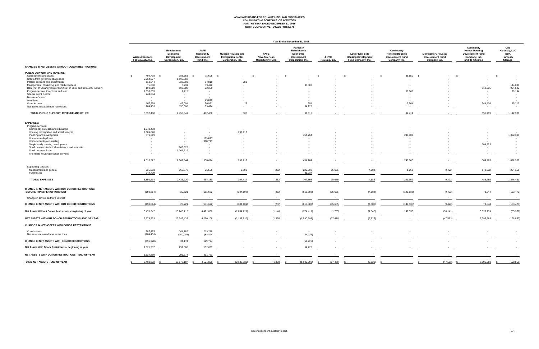# ASIAN AMERICANS FOR EQUALITY, INC. AND SUBSIDIARIES<br>CONSOLIDATING SCHEDULE OF ACTIVITIES<br>FOR THE YEAR ENDED DECEMBER 31, 2018<br>(WITH COMPARATIVE TOTALS FOR 2017)

|                                                                                 | Year Ended December 31, 2018                 |                                                             |                                                |                                                                      |                                                               |                                                                         |                        |                                                                            |                                                                                 |                                                                      |                                                                                                     |                                                           |
|---------------------------------------------------------------------------------|----------------------------------------------|-------------------------------------------------------------|------------------------------------------------|----------------------------------------------------------------------|---------------------------------------------------------------|-------------------------------------------------------------------------|------------------------|----------------------------------------------------------------------------|---------------------------------------------------------------------------------|----------------------------------------------------------------------|-----------------------------------------------------------------------------------------------------|-----------------------------------------------------------|
|                                                                                 | <b>Asian Americans</b><br>For Equality, Inc. | Renaissance<br>Economic<br>Development<br>Corporation, Inc. | AAFE<br>Community<br>Development<br>Fund, Inc. | Queens Housing and<br><b>Immigration Center</b><br>Corporation, Inc. | <b>AAFE</b><br><b>New American</b><br><b>Opportunity Fund</b> | Hardesty<br>Renaissance<br>Economic<br>Development<br>Corporation, Inc. | 4 NYC<br>Housing, Inc. | <b>Lower East Side</b><br><b>Housing Development</b><br>Fund Company, Inc. | Community<br><b>Renewal Housing</b><br><b>Development Fund</b><br>Company, Inc. | <b>Montgomery Housing</b><br><b>Development Fund</b><br>Company Inc. | Community<br><b>Homes Housing</b><br><b>Development Fund</b><br>Company, Inc.<br>and its Affiliates | One<br>Hardesty, LLC<br><b>DBA</b><br>Hardesty<br>Storage |
| CHANGES IN NET ASSETS WITHOUT DONOR RESTRICTIONS:                               |                                              |                                                             |                                                |                                                                      |                                                               |                                                                         |                        |                                                                            |                                                                                 |                                                                      |                                                                                                     |                                                           |
| PUBLIC SUPPORT AND REVENUE:                                                     |                                              |                                                             |                                                |                                                                      |                                                               |                                                                         |                        |                                                                            |                                                                                 |                                                                      |                                                                                                     |                                                           |
| Contributions and grants                                                        | 499,738<br>$\mathcal{S}$                     | 188,553<br>$\mathbb{S}$                                     | 71,605 \$<br>$\hat{\mathbf{r}}$                |                                                                      | - \$                                                          |                                                                         |                        |                                                                            | 36,850                                                                          | - 9                                                                  |                                                                                                     |                                                           |
| Grants from government agencies                                                 | 2,264,577                                    | 1,196,560                                                   | 84,818                                         |                                                                      |                                                               |                                                                         |                        |                                                                            |                                                                                 |                                                                      |                                                                                                     |                                                           |
| Interest on loans and investments<br>Management, consulting, and marketing fees | 118,044<br>75,000                            | 727,203<br>3,731                                            | 39,422                                         | 283                                                                  |                                                               | 36,000                                                                  |                        |                                                                            | $\sim$                                                                          |                                                                      |                                                                                                     | 144,000                                                   |
| Rent (net of vacancy loss of \$142,134 in 2018 and \$193,600 in 2017)           | 199,910                                      | 100,080                                                     | 92,350                                         |                                                                      |                                                               |                                                                         |                        |                                                                            |                                                                                 |                                                                      | 312,395                                                                                             | 924,582                                                   |
| Program service, incentives and fees                                            | 1,398,855                                    | 1,415                                                       | $\sim$                                         |                                                                      |                                                               |                                                                         |                        |                                                                            | 50,000                                                                          |                                                                      |                                                                                                     | 29,194                                                    |
| Special event income                                                            | 244,004                                      |                                                             | $\sim$                                         |                                                                      |                                                               |                                                                         |                        |                                                                            |                                                                                 |                                                                      |                                                                                                     |                                                           |
| Developer's fees<br>Loan fees                                                   | $\sim$ $-$<br>$\sim$                         |                                                             | 49,878                                         |                                                                      |                                                               |                                                                         |                        |                                                                            | $\sim$                                                                          |                                                                      |                                                                                                     |                                                           |
| Other income                                                                    | 107,869                                      | 89,091                                                      | 50,921                                         | 25                                                                   |                                                               | 791                                                                     |                        |                                                                            | 5,564                                                                           |                                                                      | 244,404                                                                                             | 15,212                                                    |
| Net assets released from restrictions                                           | 784,403                                      | 150,008                                                     | 83,494                                         |                                                                      |                                                               | 54,225                                                                  |                        |                                                                            | $\sim$                                                                          |                                                                      |                                                                                                     | $\sim$ $-$                                                |
| TOTAL PUBLIC SUPPORT, REVENUE AND OTHER                                         | 5,692,400                                    | 2,456,641                                                   | 472,488                                        | 308                                                                  |                                                               | 91,016                                                                  |                        |                                                                            | 92,414                                                                          |                                                                      | 556,799                                                                                             | 1,112,988                                                 |
|                                                                                 |                                              |                                                             |                                                |                                                                      |                                                               |                                                                         |                        |                                                                            |                                                                                 |                                                                      |                                                                                                     |                                                           |
| <b>EXPENSES:</b><br>Program services:                                           |                                              |                                                             |                                                |                                                                      |                                                               |                                                                         |                        |                                                                            |                                                                                 |                                                                      |                                                                                                     |                                                           |
| Community outreach and education                                                | 1,749,433                                    |                                                             |                                                |                                                                      |                                                               |                                                                         |                        |                                                                            |                                                                                 |                                                                      |                                                                                                     |                                                           |
| Housing, immigration and social services                                        | 2,389,870                                    |                                                             |                                                | 297,917                                                              |                                                               |                                                                         |                        |                                                                            |                                                                                 |                                                                      |                                                                                                     |                                                           |
| Planning and development                                                        | 671,219                                      |                                                             |                                                |                                                                      |                                                               | 454,264                                                                 |                        |                                                                            | 240,000                                                                         |                                                                      |                                                                                                     | 1,022,306                                                 |
| Homeownership loans                                                             |                                              |                                                             | 179,877<br>378,747                             |                                                                      |                                                               |                                                                         |                        |                                                                            |                                                                                 |                                                                      |                                                                                                     |                                                           |
| Homeownership counseling<br>Single family housing development                   |                                              |                                                             |                                                |                                                                      |                                                               |                                                                         |                        |                                                                            |                                                                                 |                                                                      | 304,223                                                                                             |                                                           |
| Small business technical assistance and education                               |                                              | 868,025                                                     |                                                |                                                                      |                                                               |                                                                         |                        |                                                                            |                                                                                 |                                                                      |                                                                                                     |                                                           |
| Small business loans                                                            |                                              | 1,201,519                                                   |                                                |                                                                      |                                                               |                                                                         |                        |                                                                            |                                                                                 |                                                                      |                                                                                                     |                                                           |
| Affordable housing program services                                             |                                              |                                                             |                                                |                                                                      |                                                               |                                                                         |                        |                                                                            |                                                                                 |                                                                      |                                                                                                     |                                                           |
|                                                                                 | 4,810,522                                    | 2,069,544                                                   | 558,624                                        | 297,917                                                              |                                                               | 454,264                                                                 |                        |                                                                            | 240,000                                                                         |                                                                      | 304,223                                                                                             | 1,022,306                                                 |
| Supporting services:                                                            |                                              |                                                             |                                                |                                                                      |                                                               |                                                                         |                        |                                                                            |                                                                                 |                                                                      |                                                                                                     |                                                           |
| Management and general                                                          | 735,953                                      | 366,376                                                     | 95,556                                         | 6,500                                                                | 252                                                           | 222,300                                                                 | 35,685                 | 4,582                                                                      | 1,952                                                                           | 9,422                                                                | 179,032                                                                                             | 224,155                                                   |
| Fundraising                                                                     | 344,739                                      |                                                             |                                                |                                                                      |                                                               | 31,034                                                                  |                        |                                                                            |                                                                                 |                                                                      |                                                                                                     |                                                           |
| <b>TOTAL EXPENSES</b>                                                           | 5,891,214                                    | 2,435,920                                                   | 654,180                                        | 304,417                                                              | 252                                                           | 707,598                                                                 | 35,685                 | 4,582                                                                      | 241,952                                                                         | 9,422                                                                | 483,255                                                                                             | 1,246,461                                                 |
| CHANGE IN NET ASSETS WITHOUT DONOR RESTRICTIONS                                 |                                              |                                                             |                                                |                                                                      |                                                               |                                                                         |                        |                                                                            |                                                                                 |                                                                      |                                                                                                     |                                                           |
| BEFORE TRANSFER OF INTEREST                                                     | (198, 814)                                   | 20,721                                                      | (181, 692)                                     | (304, 109)                                                           | (252)                                                         | (616, 582)                                                              | (35,685)               | (4, 582)                                                                   | (149, 538)                                                                      | (9, 422)                                                             | 73,544                                                                                              | (133, 473)                                                |
| Change in limited partner's interest                                            |                                              |                                                             |                                                |                                                                      |                                                               |                                                                         |                        |                                                                            |                                                                                 |                                                                      |                                                                                                     |                                                           |
| CHANGE IN NET ASSETS WITHOUT DONOR RESTRICTIONS                                 | (198, 814)                                   | 20,721                                                      | (181, 692)                                     | (304, 109)                                                           | (252)                                                         | (616, 582)                                                              | (35,685)               | (4, 582)                                                                   | (149, 538)                                                                      | (9, 422)                                                             | 73,544                                                                                              | (133, 473)                                                |
| Net Assets Without Donor Restrictions - beginning of year                       | 5,478,347                                    | 13,265,712                                                  | 4,471,800                                      | (1,834,721)                                                          | (1, 146)                                                      | (974, 411)                                                              | (1,785)                | (1,040)                                                                    | 149,538                                                                         | (38, 141)                                                            | 5,323,139                                                                                           | (65, 377)                                                 |
| NET ASSETS WITHOUT DONOR RESTRICTIONS- END OF YEAR                              | 5,279,533                                    | 13,286,433                                                  | 4,290,108                                      | (2, 138, 830)                                                        | (1, 398)                                                      | (1,590,993)                                                             | (37, 470)              | (5,622)                                                                    |                                                                                 | (47, 563)                                                            | 5,396,683                                                                                           | (198, 850)                                                |
| CHANGES IN NET ASSETS WITH DONOR RESTRICTIONS:                                  |                                              |                                                             |                                                |                                                                      |                                                               |                                                                         |                        |                                                                            |                                                                                 |                                                                      |                                                                                                     |                                                           |
| Contributions<br>Net assets released from restrictions                          | 287,475<br>(784, 403)                        | 184,182<br>(150,008)                                        | 213,218<br>(83, 494)                           |                                                                      |                                                               | $\sim$ 10 $\mu$<br>(54, 225)                                            |                        |                                                                            |                                                                                 |                                                                      |                                                                                                     |                                                           |
| CHANGE IN NET ASSETS WITH DONOR RESTRICTIONS                                    | (496, 928)                                   | 34,174                                                      | 129,724                                        |                                                                      |                                                               | (54, 225)                                                               |                        |                                                                            |                                                                                 |                                                                      |                                                                                                     |                                                           |
| Net Assets With Donor Restrictions - beginning of year                          | 1,621,287                                    | 257,500                                                     | 102,037                                        |                                                                      |                                                               | 54,225                                                                  |                        |                                                                            |                                                                                 |                                                                      |                                                                                                     |                                                           |
| NET ASSETS WITH DONOR RESTRICTIONS - END OF YEAR                                | 1,124,359                                    | 291,674                                                     | 231,761                                        |                                                                      |                                                               |                                                                         |                        |                                                                            |                                                                                 |                                                                      |                                                                                                     |                                                           |
| TOTAL NET ASSETS - END OF YEAR                                                  | 6,403,892                                    | 13,578,107                                                  | 4,521,869                                      | (2, 138, 830)                                                        | (1, 398)                                                      | (1,590,993)                                                             | (37, 470)              | (5,622)                                                                    |                                                                                 | (47, 563)                                                            | 5,396,683                                                                                           | (198, 850)                                                |
|                                                                                 |                                              |                                                             |                                                |                                                                      |                                                               |                                                                         |                        |                                                                            |                                                                                 |                                                                      |                                                                                                     |                                                           |